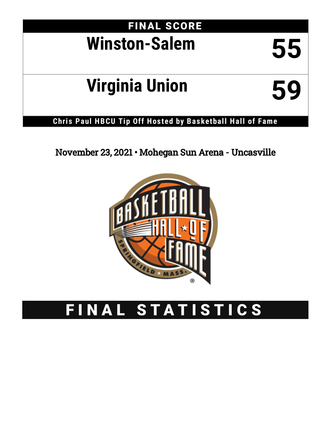## FINAL SCORE **Winston-Salem 55**

# **Virginia Union 59**

## **Chris Paul HBCU Tip Off Hos ted by Basketball Hall of Fame**

## November 23, 2021 • Mohegan Sun Arena - Uncasville



## FINAL STATISTICS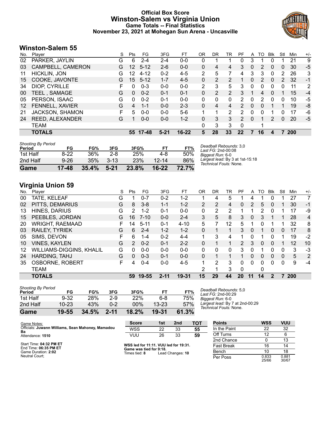#### **Official Box Score Winston-Salem vs Virginia Union Game Totals -- Final Statistics November 23, 2021 at Mohegan Sun Arena - Uncasville**



#### **Winston-Salem 55**

| No.               | Player                 | S | <b>Pts</b> | FG       | 3FG      | FТ        | 0R             | <b>DR</b> | TR             | PF            | A | TO | Blk      | Stl | Min | $+/-$ |
|-------------------|------------------------|---|------------|----------|----------|-----------|----------------|-----------|----------------|---------------|---|----|----------|-----|-----|-------|
| 02                | PARKER, JAYLIN         | G | 6          | 2-4      | 2-4      | $0-0$     | 0              |           |                | 0             | 3 |    |          |     | 21  | 9     |
| 03                | CAMPBELL, CAMERON      | G | 12         | $5 - 12$ | $2 - 6$  | $0 - 0$   | 0              | 4         | 4              | 3             | 0 | 2  | 0        | 0   | 30  | $-5$  |
| 11                | <b>HICKLIN, JON</b>    | G | 12         | $4 - 12$ | $0 - 2$  | $4 - 5$   | 2              | 5         | 7              | 4             | 3 | 3  | $\Omega$ | 2   | 26  | 3     |
| 15                | COOKE, JAVONTE         | G | 15         | $5 - 12$ | $1 - 7$  | $4 - 5$   | 0              | 2         | 2              |               | 0 | 2  | 0        | 2   | 32  | $-1$  |
| 34                | DIOP, CYRILLE          | F | 0          | $0 - 3$  | $0 - 0$  | $0 - 0$   | $\overline{2}$ | 3         | 5              | 3             | 0 | 0  | 0        | 0   | 11  | 2     |
| 00                | <b>TEEL, SAMAGE</b>    | G | $\Omega$   | $0 - 2$  | $0 - 1$  | $0 - 1$   | 0              | 2         | $\overline{2}$ | 3             |   | 4  | $\Omega$ |     | 15  | $-4$  |
| 05                | PERSON, ISAAC          | G | 0          | $0 - 2$  | $0 - 1$  | $0 - 0$   | 0              | 0         | $\Omega$       | 2             | 0 | 2  | 0        | 0   | 10  | -5    |
| $12 \overline{ }$ | FENNELL, XAVIER        | G | 4          | $1 - 1$  | $0 - 0$  | $2 - 3$   | 0              | 4         | 4              | 2             | 0 | 0  |          |     | 19  | -8    |
| 21                | <b>JACKSON, SHAMON</b> | F | 5          | $0 - 0$  | $0 - 0$  | $5-6$     | 1              | 4         | $\overline{2}$ | 2             | 0 | 0  |          | 0   | 17  | -6    |
| 24                | REED, ALEXANDER        | G |            | $0 - 0$  | $0 - 0$  | $1 - 2$   | 0              | 3         | 3              | $\mathcal{P}$ | 0 |    | 2        | 0   | 20  | $-5$  |
|                   | TEAM                   |   |            |          |          |           | 0              | 3         | 3              | $\Omega$      |   | 1  |          |     |     |       |
|                   | <b>TOTALS</b>          |   | 55.        | 17-48    | $5 - 21$ | $16 - 22$ | 5              | 28        | 33             | 22            | 7 | 16 | 4        |     | 200 |       |
|                   |                        |   |            |          |          |           |                |           |                |               |   |    |          |     |     |       |

| Game                                | 17-48    | 35.4% | $5 - 21$ | 23.8% | 16-22 | 72.7% |                |
|-------------------------------------|----------|-------|----------|-------|-------|-------|----------------|
| 2nd Half                            | $9 - 26$ | 35%   | $3 - 13$ | 23%   | 12-14 | 86%   | Large<br>Techr |
| 1st Half                            | $8-22$   | 36%   | $2 - 8$  | 25%   | 4-8   | 50%   | Bigge          |
| <b>Shooting By Period</b><br>Period | FG       | FG%   | 3FG      | 3FG%  | FТ    | FT%   | Dead<br>Last I |

#### *Deadball Rebounds:* 3,0 *Last FG:* 2nd-00:08 *Biggest Run:* 6-0 *Largest lead:* By 3 at 1st-15:18 *Technical Fouls:* None.

### **Virginia Union 59**

| No. | Player                   | S  | Pts | FG       | 3FG      | FT       | 0R             | DR | TR           | PF             | A        | TO.      | <b>B</b> lk  | Stl      | Min        | $+/-$          |
|-----|--------------------------|----|-----|----------|----------|----------|----------------|----|--------------|----------------|----------|----------|--------------|----------|------------|----------------|
| 00  | TATE, KELEAF             | G  |     | $0 - 7$  | $0 - 2$  | $1 - 2$  |                | 4  | 5            |                | 4        |          | 0            |          | 27         |                |
| 02  | PITTS, DEMARIUS          | G  | 8   | $3 - 8$  | $1 - 1$  | $1 - 2$  | $\overline{2}$ | 2  | 4            | $\mathbf{0}$   | 2        | 5        | 0            |          | 30         | $-1$           |
| 13  | HINES, DARIUS            | G  | 2   | $1 - 2$  | $0 - 1$  | $0 - 0$  | 0              | 2  | 2            |                |          | 2        | 0            |          | 17         | -9             |
| 15  | PEEBLES, JORDAN          | G  | 16  | $7 - 10$ | $0 - 0$  | $2 - 4$  | 3              | 5  | 8            | 3              | 0        | 3        |              |          | 28         | $\overline{4}$ |
| 20  | <b>WRIGHT, RAEMAAD</b>   | F. | 14  | $5 - 11$ | $0 - 1$  | $4 - 10$ | 5              |    | 12           | 5.             |          | 0        |              |          | 32         | 8              |
| 03  | RAILEY, TYRIEK           | G  | 6.  | $2 - 4$  | $1 - 2$  | $1 - 2$  | 0              |    |              | 3              | 0        | 1        | $\mathbf{0}$ | $\Omega$ | 17         | 8              |
| 05  | SIMS, DEVON              | F  | 6   | $1 - 4$  | $0 - 2$  | $4 - 4$  | 1              | 3  | 4            |                | 0        | 1        | 0            |          | 19         | $-2$           |
| 10  | <b>VINES, KAYLEN</b>     | G  | 2   | $0 - 2$  | $0 - 1$  | $2 - 2$  | $\Omega$       |    | 1.           | $\overline{2}$ | 3        | $\Omega$ | $\Omega$     |          | 12         | 10             |
| 12  | WILLIAMS-DIGGINS, KHALIL | G  | 0   | $0-0$    | $0 - 0$  | $0 - 0$  | 0              | 0  | $\mathbf{0}$ | 3              | 0        |          | 0            | 0        | 3          | $-3$           |
| 24  | HARDING, TAHJ            | G  | 0   | $0 - 3$  | $0 - 1$  | $0 - 0$  | $\Omega$       | 1  | 1.           |                | $\Omega$ | $\Omega$ | $\Omega$     | $\Omega$ | 5          | 2              |
| 35  | <b>OSBORNE, ROBERT</b>   | F  | 4   | $0 - 4$  | $0 - 0$  | $4 - 5$  |                | 2  | 3            | $\Omega$       | $\Omega$ | 0        | 0            | $\Omega$ | 9          | $-4$           |
|     | <b>TEAM</b>              |    |     |          |          |          | 2              |    | 3            | $\Omega$       |          | 0        |              |          |            |                |
|     | <b>TOTALS</b>            |    | 59  | 19-55    | $2 - 11$ | 19-31    | 15             | 29 | 44           | 20             | 11       | 14       | $\mathbf{2}$ |          | <b>200</b> |                |

| <b>Shooting By Period</b> |           |            |          |            |           |       |
|---------------------------|-----------|------------|----------|------------|-----------|-------|
| Period                    | FG        | FG%        | 3FG      | 3FG%       | FТ        | FT%   |
| 1st Half                  | $9 - 32$  | <b>28%</b> | 2-9      | <b>22%</b> | 6-8       | 75%   |
| 2nd Half                  | $10 - 23$ | 43%        | $0 - 2$  | 00%        | $13 - 23$ | 57%   |
| Game                      | 19-55     | 34.5%      | $2 - 11$ | 18.2%      | 19-31     | 61.3% |

*Deadball Rebounds:* 5,0 *Last FG:* 2nd-00:29 *Biggest Run:* 6-0 *Largest lead:* By 7 at 2nd-00:29 *Technical Fouls:* None.

| Game Notes:                                             | <b>Score</b>                             | 1st | 2 <sub>nd</sub>  | <b>TOT</b> | <b>Points</b> | <b>WSS</b>     | <b>VUU</b>     |
|---------------------------------------------------------|------------------------------------------|-----|------------------|------------|---------------|----------------|----------------|
| Officials: Juwann Williams, Sean Mahoney, Mamadou<br>Ba | <b>WSS</b>                               | 22  | 33               | 55         | In the Paint  | 22             | 32             |
| Attendance: 1510                                        | <b>VUU</b>                               | 26  | 33               | 59         | Off Turns     |                |                |
|                                                         |                                          |     |                  |            | 2nd Chance    |                | 13             |
| Start Time: 04:32 PM ET<br>End Time: 06:35 PM ET        | WSS led for 11:11. VUU led for 19:31.    |     |                  |            | Fast Break    | 16             | 14             |
| Game Duration: 2:02                                     | Game was tied for 9:18.<br>Times tied: 8 |     | Lead Changes: 10 |            | Bench         |                | 18             |
| Neutral Court:                                          |                                          |     |                  |            | Per Poss      | 0.833<br>25/66 | 0.881<br>30/67 |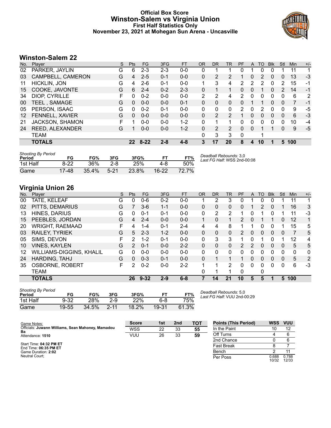#### **Official Box Score Winston-Salem vs Virginia Union First Half Statistics Only November 23, 2021 at Mohegan Sun Arena - Uncasville**



#### **Winston-Salem 22**

| No. | Plaver                 | S | <b>Pts</b> | <b>FG</b> | 3FG     | <b>FT</b> | <b>OR</b>      | <b>DR</b> | TR             | <b>PF</b> | A | TO | <b>B</b> lk  | Stl | <b>Min</b> | $+/-$ |
|-----|------------------------|---|------------|-----------|---------|-----------|----------------|-----------|----------------|-----------|---|----|--------------|-----|------------|-------|
| 02  | PARKER, JAYLIN         | G | 6          | $2 - 3$   | $2 - 3$ | $0-0$     | 0              |           |                |           |   | 0  |              |     | 11         |       |
| 03  | CAMPBELL, CAMERON      | G | 4          | $2 - 5$   | $0 - 1$ | $0 - 0$   | 0              | 2         | 2              |           | 0 | 2  | 0            | 0   | 13         | $-3$  |
| 11  | <b>HICKLIN, JON</b>    | G | 4          | $2 - 6$   | $0 - 1$ | $0-0$     |                | 3         | 4              | 2         | 2 | 2  | 0            | 2   | 15         | -1    |
| 15  | COOKE, JAVONTE         | G | 6          | $2 - 4$   | $0 - 2$ | $2 - 3$   | 0              | 1         | 1              | 0         | 0 | 1  | $\mathbf{0}$ | 2   | 14         | $-1$  |
| 34  | DIOP, CYRILLE          | F | 0          | $0 - 2$   | $0 - 0$ | $0 - 0$   | $\overline{2}$ | 2         | 4              | 2         | 0 | 0  | $\Omega$     | 0   | 6          | 2     |
| 00  | <b>TEEL, SAMAGE</b>    | G | $\Omega$   | $0 - 0$   | $0 - 0$ | $0 - 1$   | 0              | 0         | 0              | 0         |   |    | 0            | 0   | 7          | -1    |
| 05  | PERSON, ISAAC          | G | 0          | $0 - 2$   | $0 - 1$ | $0-0$     | 0              | 0         | 0              | 2         | 0 | 2  |              | 0   | 9          | -5    |
| 12  | FENNELL, XAVIER        | G | $\Omega$   | $0 - 0$   | $0 - 0$ | $0 - 0$   | 0              | 2         | $\overline{2}$ | 1         | 0 | 0  | $\Omega$     | 0   | 6          | $-3$  |
| 21  | <b>JACKSON, SHAMON</b> | F |            | $0 - 0$   | $0 - 0$ | $1 - 2$   | 0              | 1         | 1              | 0         | 0 | 0  | 0            | 0   | 10         | $-4$  |
| 24  | REED, ALEXANDER        | G |            | $0 - 0$   | $0 - 0$ | $1 - 2$   | $\Omega$       | 2         | 2              | 0         | 0 |    |              | 0   | 9          | $-5$  |
|     | TEAM                   |   |            |           |         |           | 0              | 3         | 3              | 0         |   |    |              |     |            |       |
|     | <b>TOTALS</b>          |   | 22         | $8 - 22$  | $2 - 8$ | $4 - 8$   | 3              | 17        | 20             | 8         | 4 | 10 |              | 5.  | 100        |       |
|     |                        |   |            |           |         |           |                |           |                |           |   |    |              |     |            |       |

| Shooting By Period<br>Period | FG     | FG%   | 3FG      | 3FG%  | FT.       | FT%   | Deadball Rebounds: 3,0<br>Last FG Half: WSS 2nd-00:08 |
|------------------------------|--------|-------|----------|-------|-----------|-------|-------------------------------------------------------|
| 1st Half                     | $8-22$ | 36%   | 2-8      | 25%   | 4-8       | 50%   |                                                       |
| Game                         | 17-48  | 35.4% | $5 - 21$ | 23.8% | $16 - 22$ | 72.7% |                                                       |

#### **Virginia Union 26**

| No. | Player                   | S | Pts | <b>FG</b> | 3FG     | <b>FT</b> | <b>OR</b> | DR       | TR           | PF             | A        | TO | <b>Blk</b>   | Stl          | Min | $+/-$        |
|-----|--------------------------|---|-----|-----------|---------|-----------|-----------|----------|--------------|----------------|----------|----|--------------|--------------|-----|--------------|
| 00  | TATE, KELEAF             | G | 0   | $0 - 6$   | $0 - 2$ | $0 - 0$   |           | 2        | 3            | 0              |          | 0  | $\Omega$     |              | 11  | 1            |
| 02  | PITTS, DEMARIUS          | G |     | $3-6$     | $1 - 1$ | $0 - 0$   | 0         | 0        | $\mathbf{0}$ | 0              |          | 2  | $\mathbf{0}$ |              | 16  | 3            |
| 13  | HINES, DARIUS            | G | 0   | $0 - 1$   | $0 - 1$ | $0 - 0$   | 0         | 2        | 2            |                | 0        |    | 0            |              | 11  | -3           |
| 15  | PEEBLES, JORDAN          | G | 4   | $2 - 4$   | $0 - 0$ | $0 - 0$   |           | 0        |              | 2              | 0        |    |              | 0            | 12  | 1            |
| 20  | <b>WRIGHT, RAEMAAD</b>   | F | 4   | 1-4       | $0 - 1$ | $2 - 4$   | 4         | 4        | 8            |                |          | 0  | 0            |              | 15  | 5            |
| 03  | RAILEY, TYRIEK           | G | 5   | $2 - 3$   | $1 - 2$ | $0 - 0$   | $\Omega$  | $\Omega$ | $\Omega$     | $\mathcal{P}$  | $\Omega$ | 0  | $\Omega$     | $\Omega$     | 7   | 5            |
| 05  | SIMS, DEVON              | F | 2   | $1 - 2$   | $0 - 1$ | $0 - 0$   | 0         | 3        | 3            |                | 0        |    | 0            |              | 12  | 4            |
| 10  | <b>VINES, KAYLEN</b>     | G | 2   | $0 - 1$   | $0 - 0$ | $2 - 2$   | 0         | $\Omega$ | $\mathbf{0}$ | $\overline{2}$ | 2        | 0  | $\Omega$     | $\Omega$     | 5   | 5            |
| 12  | WILLIAMS-DIGGINS, KHALIL | G | 0   | $0 - 0$   | $0 - 0$ | $0 - 0$   | 0         | 0        | $\Omega$     | $\Omega$       | 0        | 0  | $\Omega$     | 0            | 0   | $\mathbf{0}$ |
| 24  | HARDING, TAHJ            | G | 0   | $0 - 3$   | $0 - 1$ | $0 - 0$   | $\Omega$  |          | 1            |                | $\Omega$ | 0  | $\mathbf{0}$ | $\mathbf{0}$ | 5   | 2            |
| 35  | <b>OSBORNE, ROBERT</b>   | F | 2   | $0 - 2$   | $0-0$   | $2 - 2$   | 1         |          | 2            | $\Omega$       | 0        | 0  | 0            | 0            | 6   | $-3$         |
|     | <b>TEAM</b>              |   |     |           |         |           | 0         |          |              | $\Omega$       |          | 0  |              |              |     |              |
|     | <b>TOTALS</b>            |   | 26  | $9 - 32$  | $2 - 9$ | $6 - 8$   |           | 14       | 21           | 10             | 5        | 5  |              | 5            | 100 |              |

| <b>Shooting By Period</b><br>Period | FG       | FG%   | 3FG      | 3FG%  |       | FT%   |
|-------------------------------------|----------|-------|----------|-------|-------|-------|
| 1st Half                            | $9 - 32$ | 28%   | 2-9      | 22%   | 6-8   | 75%   |
| Game                                | 19-55    | 34.5% | $2 - 11$ | 18.2% | 19-31 | 61.3% |

*Deadball Rebounds:* 5,0 *Last FG Half:* VUU 2nd-00:29

| Game Notes:                                             | <b>Score</b> | 1st | 2 <sub>nd</sub> | <b>TOT</b> | <b>Points (This Period)</b> | <b>WSS</b>     | <b>VUU</b>     |
|---------------------------------------------------------|--------------|-----|-----------------|------------|-----------------------------|----------------|----------------|
| Officials: Juwann Williams, Sean Mahoney, Mamadou<br>Ba | <b>WSS</b>   | 22  | 33              | 55         | In the Paint                | 10             |                |
| Attendance: 1510                                        | VUU          | 26  | 33              | 59         | Off Turns                   |                |                |
|                                                         |              |     |                 |            | 2nd Chance                  |                |                |
| Start Time: 04:32 PM ET<br>End Time: 06:35 PM ET        |              |     |                 |            | Fast Break                  |                |                |
| Game Duration: 2:02                                     |              |     |                 |            | Bench                       |                |                |
| Neutral Court:                                          |              |     |                 |            | Per Poss                    | 0.688<br>10/32 | 0.788<br>12/33 |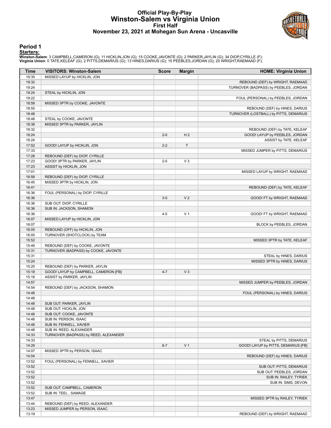#### **Official Play-By-Play Winston-Salem vs Virginia Union First Half November 23, 2021 at Mohegan Sun Arena - Uncasville**



#### **Period 1**

**Starters:**<br>Winston-Salem: 3 CAMPBELL,CAMERON (G); 11 HICKLIN,JON (G); 15 COOKE,JAVONTE (G); 2 PARKER,JAYLIN (G); 34 DIOP,CYRILLE (F);<br>Virginia Union: 0 TATE,KELEAF (G); 2 PITTS,DEMARIUS (G); 13 HINES,DARIUS (G); 15 PEEBLE

| Time           | <b>VISITORS: Winston-Salem</b>                   | <b>Score</b> | <b>Margin</b>  | <b>HOME: Virginia Union</b>            |
|----------------|--------------------------------------------------|--------------|----------------|----------------------------------------|
| 19:35          | MISSED LAYUP by HICKLIN, JON                     |              |                |                                        |
| 19:32          |                                                  |              |                | REBOUND (DEF) by WRIGHT, RAEMAAD       |
| 19:24          |                                                  |              |                | TURNOVER (BADPASS) by PEEBLES, JORDAN  |
| 19:24          | STEAL by HICKLIN, JON                            |              |                |                                        |
| 19:22          |                                                  |              |                | FOUL (PERSONAL) by PEEBLES, JORDAN     |
| 18:58          | MISSED 3PTR by COOKE, JAVONTE                    |              |                |                                        |
| 18:55          |                                                  |              |                | REBOUND (DEF) by HINES, DARIUS         |
| 18:48          |                                                  |              |                | TURNOVER (LOSTBALL) by PITTS, DEMARIUS |
| 18:48          | STEAL by COOKE, JAVONTE                          |              |                |                                        |
| 18:38          | MISSED 3PTR by PARKER, JAYLIN                    |              |                |                                        |
| 18:32          |                                                  |              |                | REBOUND (DEF) by TATE, KELEAF          |
| 18:24          |                                                  | $2 - 0$      | H <sub>2</sub> | GOOD! LAYUP by PEEBLES, JORDAN         |
| 18:24          |                                                  |              |                | ASSIST by TATE, KELEAF                 |
| 17:52          | GOOD! LAYUP by HICKLIN, JON                      | $2 - 2$      | T              |                                        |
| 17:33<br>17:28 | REBOUND (DEF) by DIOP, CYRILLE                   |              |                | MISSED JUMPER by PITTS, DEMARIUS       |
| 17:23          | GOOD! 3PTR by PARKER, JAYLIN                     | $2 - 5$      | $V_3$          |                                        |
| 17:23          | ASSIST by HICKLIN, JON                           |              |                |                                        |
| 17:01          |                                                  |              |                | MISSED LAYUP by WRIGHT, RAEMAAD        |
| 16:58          | REBOUND (DEF) by DIOP, CYRILLE                   |              |                |                                        |
| 16:45          | MISSED 3PTR by HICKLIN, JON                      |              |                |                                        |
| 16:41          |                                                  |              |                | REBOUND (DEF) by TATE, KELEAF          |
| 16:36          | FOUL (PERSONAL) by DIOP, CYRILLE                 |              |                |                                        |
| 16:36          |                                                  | $3-5$        | V <sub>2</sub> | GOOD! FT by WRIGHT, RAEMAAD            |
| 16:36          | SUB OUT: DIOP, CYRILLE                           |              |                |                                        |
| 16:36          | SUB IN: JACKSON, SHAMON                          |              |                |                                        |
| 16:36          |                                                  | $4 - 5$      | V <sub>1</sub> | GOOD! FT by WRIGHT, RAEMAAD            |
| 16:07          | MISSED LAYUP by HICKLIN, JON                     |              |                |                                        |
| 16:07          |                                                  |              |                | BLOCK by PEEBLES, JORDAN               |
| 16:05          | REBOUND (OFF) by HICKLIN, JON                    |              |                |                                        |
| 16:05          | TURNOVER (SHOTCLOCK) by TEAM                     |              |                |                                        |
| 15:52          |                                                  |              |                | MISSED 3PTR by TATE, KELEAF            |
| 15:49          | REBOUND (DEF) by COOKE, JAVONTE                  |              |                |                                        |
| 15:31          | TURNOVER (BADPASS) by COOKE, JAVONTE             |              |                |                                        |
| 15:31          |                                                  |              |                | STEAL by HINES, DARIUS                 |
| 15:24          |                                                  |              |                | MISSED 3PTR by HINES, DARIUS           |
| 15:20          | REBOUND (DEF) by PARKER, JAYLIN                  |              |                |                                        |
| 15:18          | GOOD! LAYUP by CAMPBELL, CAMERON [FB]            | $4 - 7$      | $V_3$          |                                        |
| 15:18          | ASSIST by PARKER, JAYLIN                         |              |                |                                        |
| 14:57          |                                                  |              |                | MISSED JUMPER by PEEBLES, JORDAN       |
| 14:54          | REBOUND (DEF) by JACKSON, SHAMON                 |              |                |                                        |
| 14:48          |                                                  |              |                | FOUL (PERSONAL) by HINES, DARIUS       |
| 14:48          |                                                  |              |                |                                        |
| 14:48          | SUB OUT: PARKER, JAYLIN                          |              |                |                                        |
| 14:48          | SUB OUT: HICKLIN, JON                            |              |                |                                        |
| 14:48<br>14:48 | SUB OUT: COOKE, JAVONTE<br>SUB IN: PERSON, ISAAC |              |                |                                        |
| 14:48          | SUB IN: FENNELL, XAVIER                          |              |                |                                        |
| 14:48          | SUB IN: REED, ALEXANDER                          |              |                |                                        |
| 14:33          | TURNOVER (BADPASS) by REED, ALEXANDER            |              |                |                                        |
| 14:33          |                                                  |              |                | STEAL by PITTS, DEMARIUS               |
| 14:29          |                                                  | $6 - 7$      | V <sub>1</sub> | GOOD! LAYUP by PITTS, DEMARIUS [FB]    |
| 14:07          | MISSED 3PTR by PERSON, ISAAC                     |              |                |                                        |
| 14:04          |                                                  |              |                | REBOUND (DEF) by HINES, DARIUS         |
| 13:52          | FOUL (PERSONAL) by FENNELL, XAVIER               |              |                |                                        |
| 13:52          |                                                  |              |                | SUB OUT: PITTS, DEMARIUS               |
| 13:52          |                                                  |              |                | SUB OUT: PEEBLES, JORDAN               |
| 13:52          |                                                  |              |                | SUB IN: RAILEY, TYRIEK                 |
| 13:52          |                                                  |              |                | SUB IN: SIMS, DEVON                    |
| 13:52          | SUB OUT: CAMPBELL, CAMERON                       |              |                |                                        |
| 13:52          | SUB IN: TEEL, SAMAGE                             |              |                |                                        |
| 13:47          |                                                  |              |                | MISSED 3PTR by RAILEY, TYRIEK          |
| 13:44          | REBOUND (DEF) by REED, ALEXANDER                 |              |                |                                        |
| 13:23          | MISSED JUMPER by PERSON, ISAAC                   |              |                |                                        |
| 13:19          |                                                  |              |                | REBOUND (DEF) by WRIGHT, RAEMAAD       |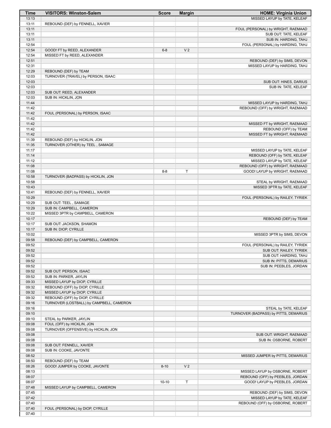| <b>Time</b>    | <b>VISITORS: Winston-Salem</b>                                     | <b>Score</b> | <b>Margin</b>  | <b>HOME: Virginia Union</b>                                         |
|----------------|--------------------------------------------------------------------|--------------|----------------|---------------------------------------------------------------------|
| 13:13          |                                                                    |              |                | MISSED LAYUP by TATE, KELEAF                                        |
| 13:11          | REBOUND (DEF) by FENNELL, XAVIER                                   |              |                |                                                                     |
| 13:11<br>13:11 |                                                                    |              |                | FOUL (PERSONAL) by WRIGHT, RAEMAAD<br>SUB OUT: TATE, KELEAF         |
| 13:11          |                                                                    |              |                | SUB IN: HARDING, TAHJ                                               |
| 12:54          |                                                                    |              |                | FOUL (PERSONAL) by HARDING, TAHJ                                    |
| 12:54          | GOOD! FT by REED, ALEXANDER                                        | $6 - 8$      | V <sub>2</sub> |                                                                     |
| 12:54          | MISSED FT by REED, ALEXANDER                                       |              |                |                                                                     |
| 12:51          |                                                                    |              |                | REBOUND (DEF) by SIMS, DEVON                                        |
| 12:31          |                                                                    |              |                | MISSED LAYUP by HARDING, TAHJ                                       |
| 12:29<br>12:03 | REBOUND (DEF) by TEAM<br>TURNOVER (TRAVEL) by PERSON, ISAAC        |              |                |                                                                     |
| 12:03          |                                                                    |              |                | SUB OUT: HINES, DARIUS                                              |
| 12:03          |                                                                    |              |                | SUB IN: TATE, KELEAF                                                |
| 12:03          | SUB OUT: REED, ALEXANDER                                           |              |                |                                                                     |
| 12:03          | SUB IN: HICKLIN, JON                                               |              |                |                                                                     |
| 11:44          |                                                                    |              |                | MISSED LAYUP by HARDING, TAHJ                                       |
| 11:42          |                                                                    |              |                | REBOUND (OFF) by WRIGHT, RAEMAAD                                    |
| 11:42<br>11:42 | FOUL (PERSONAL) by PERSON, ISAAC                                   |              |                |                                                                     |
| 11:42          |                                                                    |              |                | MISSED FT by WRIGHT, RAEMAAD                                        |
| 11:42          |                                                                    |              |                | REBOUND (OFF) by TEAM                                               |
| 11:42          |                                                                    |              |                | MISSED FT by WRIGHT, RAEMAAD                                        |
| 11:39          | REBOUND (DEF) by HICKLIN, JON                                      |              |                |                                                                     |
| 11:35          | TURNOVER (OTHER) by TEEL, SAMAGE                                   |              |                |                                                                     |
| 11:17          |                                                                    |              |                | MISSED LAYUP by TATE, KELEAF                                        |
| 11:14<br>11:12 |                                                                    |              |                | REBOUND (OFF) by TATE, KELEAF<br>MISSED LAYUP by TATE, KELEAF       |
| 11:08          |                                                                    |              |                | REBOUND (OFF) by WRIGHT, RAEMAAD                                    |
| 11:08          |                                                                    | $8 - 8$      | T              | GOOD! LAYUP by WRIGHT, RAEMAAD                                      |
| 10:58          | TURNOVER (BADPASS) by HICKLIN, JON                                 |              |                |                                                                     |
| 10:58          |                                                                    |              |                | STEAL by WRIGHT, RAEMAAD                                            |
| 10:43          |                                                                    |              |                | MISSED 3PTR by TATE, KELEAF                                         |
| 10:41          | REBOUND (DEF) by FENNELL, XAVIER                                   |              |                |                                                                     |
| 10:29<br>10:29 | SUB OUT: TEEL, SAMAGE                                              |              |                | FOUL (PERSONAL) by RAILEY, TYRIEK                                   |
| 10:29          | SUB IN: CAMPBELL, CAMERON                                          |              |                |                                                                     |
| 10:22          | MISSED 3PTR by CAMPBELL, CAMERON                                   |              |                |                                                                     |
| 10:17          |                                                                    |              |                | REBOUND (DEF) by TEAM                                               |
| 10:17          | SUB OUT: JACKSON, SHAMON                                           |              |                |                                                                     |
| 10:17          | SUB IN: DIOP, CYRILLE                                              |              |                |                                                                     |
| 10:02          |                                                                    |              |                | MISSED 3PTR by SIMS, DEVON                                          |
| 09:58<br>09:52 | REBOUND (DEF) by CAMPBELL, CAMERON                                 |              |                | FOUL (PERSONAL) by RAILEY, TYRIEK                                   |
| 09:52          |                                                                    |              |                | SUB OUT: RAILEY, TYRIEK                                             |
| 09:52          |                                                                    |              |                | SUB OUT: HARDING, TAHJ                                              |
| 09:52          |                                                                    |              |                | SUB IN: PITTS, DEMARIUS                                             |
| 09:52          |                                                                    |              |                | SUB IN: PEEBLES, JORDAN                                             |
| 09:52          | SUB OUT: PERSON, ISAAC                                             |              |                |                                                                     |
| 09:52          | SUB IN: PARKER, JAYLIN                                             |              |                |                                                                     |
| 09:33<br>09:32 | MISSED LAYUP by DIOP, CYRILLE<br>REBOUND (OFF) by DIOP, CYRILLE    |              |                |                                                                     |
| 09:32          | MISSED LAYUP by DIOP, CYRILLE                                      |              |                |                                                                     |
| 09:32          | REBOUND (OFF) by DIOP, CYRILLE                                     |              |                |                                                                     |
| 09:16          | TURNOVER (LOSTBALL) by CAMPBELL, CAMERON                           |              |                |                                                                     |
| 09:16          |                                                                    |              |                | STEAL by TATE, KELEAF                                               |
| 09:10          |                                                                    |              |                | TURNOVER (BADPASS) by PITTS, DEMARIUS                               |
| 09:10          | STEAL by PARKER, JAYLIN                                            |              |                |                                                                     |
| 09:08<br>09:08 | FOUL (OFF) by HICKLIN, JON<br>TURNOVER (OFFENSIVE) by HICKLIN, JON |              |                |                                                                     |
| 09:08          |                                                                    |              |                | SUB OUT: WRIGHT, RAEMAAD                                            |
| 09:08          |                                                                    |              |                | SUB IN: OSBORNE, ROBERT                                             |
| 09:08          | SUB OUT: FENNELL, XAVIER                                           |              |                |                                                                     |
| 09:08          | SUB IN: COOKE, JAVONTE                                             |              |                |                                                                     |
| 08:52          |                                                                    |              |                | MISSED JUMPER by PITTS, DEMARIUS                                    |
| 08:50          | REBOUND (DEF) by TEAM                                              |              |                |                                                                     |
| 08:26          | GOOD! JUMPER by COOKE, JAVONTE                                     | $8 - 10$     | V <sub>2</sub> |                                                                     |
| 08:13<br>08:07 |                                                                    |              |                | MISSED LAYUP by OSBORNE, ROBERT<br>REBOUND (OFF) by PEEBLES, JORDAN |
| 08:07          |                                                                    | $10 - 10$    | T              | GOOD! LAYUP by PEEBLES, JORDAN                                      |
| 07:48          | MISSED LAYUP by CAMPBELL, CAMERON                                  |              |                |                                                                     |
| 07:45          |                                                                    |              |                | REBOUND (DEF) by SIMS, DEVON                                        |
| 07:42          |                                                                    |              |                | MISSED LAYUP by TATE, KELEAF                                        |
| 07:40          |                                                                    |              |                | REBOUND (OFF) by OSBORNE, ROBERT                                    |
| 07:40          | FOUL (PERSONAL) by DIOP, CYRILLE                                   |              |                |                                                                     |
| 07:40          |                                                                    |              |                |                                                                     |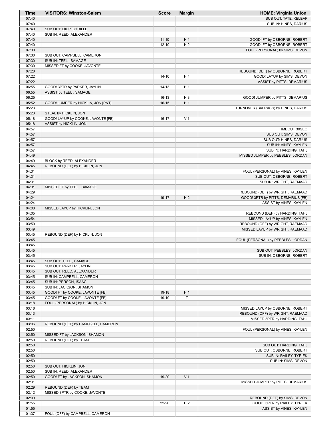| Time           | <b>VISITORS: Winston-Salem</b>                    | <b>Score</b> | <b>Margin</b>  | <b>HOME: Virginia Union</b>                                         |
|----------------|---------------------------------------------------|--------------|----------------|---------------------------------------------------------------------|
| 07:40          |                                                   |              |                | SUB OUT: TATE, KELEAF                                               |
| 07:40          |                                                   |              |                | SUB IN: HINES, DARIUS                                               |
| 07:40<br>07:40 | SUB OUT: DIOP, CYRILLE<br>SUB IN: REED, ALEXANDER |              |                |                                                                     |
| 07:40          |                                                   | $11 - 10$    | H <sub>1</sub> | GOOD! FT by OSBORNE, ROBERT                                         |
| 07:40          |                                                   | $12 - 10$    | H <sub>2</sub> | GOOD! FT by OSBORNE, ROBERT                                         |
| 07:30          |                                                   |              |                | FOUL (PERSONAL) by SIMS, DEVON                                      |
| 07:30          | SUB OUT: CAMPBELL, CAMERON                        |              |                |                                                                     |
| 07:30          | SUB IN: TEEL, SAMAGE                              |              |                |                                                                     |
| 07:30          | MISSED FT by COOKE, JAVONTE                       |              |                |                                                                     |
| 07:28          |                                                   |              |                | REBOUND (DEF) by OSBORNE, ROBERT                                    |
| 07:22          |                                                   | $14 - 10$    | H4             | GOOD! LAYUP by SIMS, DEVON                                          |
| 07:22<br>06:55 | GOOD! 3PTR by PARKER, JAYLIN                      | $14 - 13$    | H <sub>1</sub> | ASSIST by PITTS, DEMARIUS                                           |
| 06:55          | ASSIST by TEEL, SAMAGE                            |              |                |                                                                     |
| 06:25          |                                                   | $16-13$      | $H_3$          | GOOD! JUMPER by PITTS, DEMARIUS                                     |
| 05:52          | GOOD! JUMPER by HICKLIN, JON [PNT]                | $16-15$      | H <sub>1</sub> |                                                                     |
| 05:23          |                                                   |              |                | TURNOVER (BADPASS) by HINES, DARIUS                                 |
| 05:23          | STEAL by HICKLIN, JON                             |              |                |                                                                     |
| 05:18          | GOOD! LAYUP by COOKE, JAVONTE [FB]                | $16-17$      | V <sub>1</sub> |                                                                     |
| 05:18          | ASSIST by HICKLIN, JON                            |              |                |                                                                     |
| 04:57<br>04:57 |                                                   |              |                | TIMEOUT 30SEC<br>SUB OUT: SIMS, DEVON                               |
| 04:57          |                                                   |              |                | SUB OUT: HINES, DARIUS                                              |
| 04:57          |                                                   |              |                | SUB IN: VINES, KAYLEN                                               |
| 04:57          |                                                   |              |                | SUB IN: HARDING, TAHJ                                               |
| 04:49          |                                                   |              |                | MISSED JUMPER by PEEBLES, JORDAN                                    |
| 04:49          | BLOCK by REED, ALEXANDER                          |              |                |                                                                     |
| 04:45          | REBOUND (DEF) by HICKLIN, JON                     |              |                |                                                                     |
| 04:31          |                                                   |              |                | FOUL (PERSONAL) by VINES, KAYLEN                                    |
| 04:31<br>04:31 |                                                   |              |                | SUB OUT: OSBORNE, ROBERT<br>SUB IN: WRIGHT, RAEMAAD                 |
| 04:31          | MISSED FT by TEEL, SAMAGE                         |              |                |                                                                     |
| 04:29          |                                                   |              |                | REBOUND (DEF) by WRIGHT, RAEMAAD                                    |
| 04:24          |                                                   | 19-17        | H <sub>2</sub> | GOOD! 3PTR by PITTS, DEMARIUS [FB]                                  |
| 04:24          |                                                   |              |                | ASSIST by VINES, KAYLEN                                             |
| 04:08          | MISSED LAYUP by HICKLIN, JON                      |              |                |                                                                     |
| 04:05          |                                                   |              |                | REBOUND (DEF) by HARDING, TAHJ                                      |
| 03:54          |                                                   |              |                | MISSED LAYUP by VINES, KAYLEN                                       |
| 03:50<br>03:49 |                                                   |              |                | REBOUND (OFF) by WRIGHT, RAEMAAD<br>MISSED LAYUP by WRIGHT, RAEMAAD |
| 03:45          | REBOUND (DEF) by HICKLIN, JON                     |              |                |                                                                     |
| 03:45          |                                                   |              |                | FOUL (PERSONAL) by PEEBLES, JORDAN                                  |
| 03:45          |                                                   |              |                |                                                                     |
| 03:45          |                                                   |              |                | SUB OUT: PEEBLES, JORDAN                                            |
| 03:45          | SUB OUT: TEEL, SAMAGE                             |              |                | SUB IN: OSBORNE, ROBERT                                             |
| 03:45<br>03:45 | SUB OUT: PARKER, JAYLIN                           |              |                |                                                                     |
| 03:45          | SUB OUT: REED, ALEXANDER                          |              |                |                                                                     |
| 03:45          | SUB IN: CAMPBELL, CAMERON                         |              |                |                                                                     |
| 03:45          | SUB IN: PERSON, ISAAC                             |              |                |                                                                     |
| 03:45          | SUB IN: JACKSON, SHAMON                           |              |                |                                                                     |
| 03:45          | GOOD! FT by COOKE, JAVONTE [FB]                   | 19-18        | H <sub>1</sub> |                                                                     |
| 03:45          | GOOD! FT by COOKE, JAVONTE [FB]                   | 19-19        | T              |                                                                     |
| 03:18<br>03:16 | FOUL (PERSONAL) by HICKLIN, JON                   |              |                | MISSED LAYUP by OSBORNE, ROBERT                                     |
| 03:13          |                                                   |              |                | REBOUND (OFF) by WRIGHT, RAEMAAD                                    |
| 03:11          |                                                   |              |                | MISSED 3PTR by HARDING, TAHJ                                        |
| 03:06          | REBOUND (DEF) by CAMPBELL, CAMERON                |              |                |                                                                     |
| 02:50          |                                                   |              |                | FOUL (PERSONAL) by VINES, KAYLEN                                    |
| 02:50          | MISSED FT by JACKSON, SHAMON                      |              |                |                                                                     |
| 02:50          | REBOUND (OFF) by TEAM                             |              |                |                                                                     |
| 02:50          |                                                   |              |                | SUB OUT: HARDING, TAHJ                                              |
| 02:50<br>02:50 |                                                   |              |                | SUB OUT: OSBORNE, ROBERT<br>SUB IN: RAILEY, TYRIEK                  |
| 02:50          |                                                   |              |                | SUB IN: SIMS, DEVON                                                 |
| 02:50          | SUB OUT: HICKLIN, JON                             |              |                |                                                                     |
| 02:50          | SUB IN: REED, ALEXANDER                           |              |                |                                                                     |
| 02:50          | GOOD! FT by JACKSON, SHAMON                       | 19-20        | V <sub>1</sub> |                                                                     |
| 02:31          |                                                   |              |                | MISSED JUMPER by PITTS, DEMARIUS                                    |
| 02:29          | REBOUND (DEF) by TEAM                             |              |                |                                                                     |
| 02:12          | MISSED 3PTR by COOKE, JAVONTE                     |              |                |                                                                     |
| 02:09<br>01:55 |                                                   | 22-20        | H <sub>2</sub> | REBOUND (DEF) by SIMS, DEVON<br>GOOD! 3PTR by RAILEY, TYRIEK        |
| 01:55          |                                                   |              |                | ASSIST by VINES, KAYLEN                                             |
| 01:37          | FOUL (OFF) by CAMPBELL, CAMERON                   |              |                |                                                                     |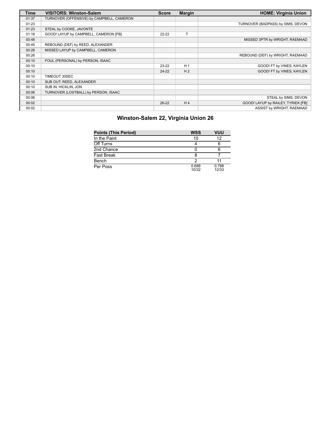| <b>Time</b> | <b>VISITORS: Winston-Salem</b>            | <b>Score</b> | <b>Margin</b>  | <b>HOME: Virginia Union</b>        |
|-------------|-------------------------------------------|--------------|----------------|------------------------------------|
| 01:37       | TURNOVER (OFFENSIVE) by CAMPBELL, CAMERON |              |                |                                    |
| 01:23       |                                           |              |                | TURNOVER (BADPASS) by SIMS, DEVON  |
| 01:23       | STEAL by COOKE, JAVONTE                   |              |                |                                    |
| 01:18       | GOOD! LAYUP by CAMPBELL, CAMERON [FB]     | $22 - 22$    |                |                                    |
| 00:48       |                                           |              |                | MISSED 3PTR by WRIGHT, RAEMAAD     |
| 00:45       | REBOUND (DEF) by REED, ALEXANDER          |              |                |                                    |
| 00:28       | MISSED LAYUP by CAMPBELL, CAMERON         |              |                |                                    |
| 00:26       |                                           |              |                | REBOUND (DEF) by WRIGHT, RAEMAAD   |
| 00:10       | FOUL (PERSONAL) by PERSON, ISAAC          |              |                |                                    |
| 00:10       |                                           | $23-22$      | H <sub>1</sub> | GOOD! FT by VINES, KAYLEN          |
| 00:10       |                                           | $24 - 22$    | H <sub>2</sub> | GOOD! FT by VINES, KAYLEN          |
| 00:10       | TIMEOUT 30SEC                             |              |                |                                    |
| 00:10       | SUB OUT: REED, ALEXANDER                  |              |                |                                    |
| 00:10       | SUB IN: HICKLIN, JON                      |              |                |                                    |
| 00:06       | TURNOVER (LOSTBALL) by PERSON, ISAAC      |              |                |                                    |
| 00:06       |                                           |              |                | STEAL by SIMS, DEVON               |
| 00:02       |                                           | $26-22$      | H <sub>4</sub> | GOOD! LAYUP by RAILEY, TYRIEK [FB] |
| 00:02       |                                           |              |                | ASSIST by WRIGHT, RAEMAAD          |

| <b>Points (This Period)</b> | <b>WSS</b>     | VUU            |
|-----------------------------|----------------|----------------|
| In the Paint                | 10             | 12             |
| Off Turns                   |                |                |
| 2nd Chance                  |                |                |
| <b>Fast Break</b>           |                |                |
| Bench                       |                |                |
| Per Poss                    | 0.688<br>10/32 | 0.788<br>12/33 |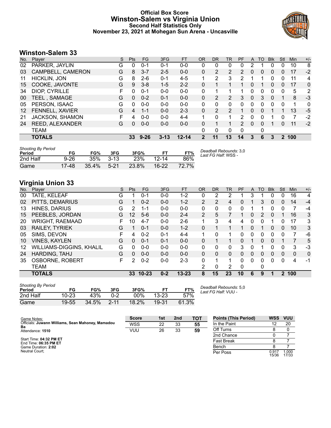#### **Official Box Score Winston-Salem vs Virginia Union Second Half Statistics Only November 23, 2021 at Mohegan Sun Arena - Uncasville**



#### **Winston-Salem 33**

| No. | Plaver              | S | <b>Pts</b> | <b>FG</b> | 3FG      | <b>FT</b> | <b>OR</b>   | <b>DR</b> | TR       | PF            | A        | TO | <b>B</b> lk | Stl | Min | $+/-$        |
|-----|---------------------|---|------------|-----------|----------|-----------|-------------|-----------|----------|---------------|----------|----|-------------|-----|-----|--------------|
| 02  | PARKER, JAYLIN      | G | 0          | 0-1       | $0 - 1$  | $0 - 0$   | 0           | 0         | 0        | 0             | 2        |    | 0           | 0   | 10  | 8            |
| 03  | CAMPBELL, CAMERON   | G | 8          | $3 - 7$   | $2 - 5$  | $0 - 0$   | 0           | 2         | 2        | 2             | 0        | 0  | 0           | 0   | 17  | -2           |
| 11  | <b>HICKLIN, JON</b> | G | 8          | $2-6$     | $0 - 1$  | $4 - 5$   |             | 2         | 3        | 2             |          |    | 0           | 0   | 11  | 4            |
| 15  | COOKE, JAVONTE      | G | 9          | $3 - 8$   | $1 - 5$  | $2 - 2$   | 0           |           |          |               | 0        |    | $\Omega$    | 0   | 17  | $\mathbf{0}$ |
| 34  | DIOP, CYRILLE       | F | $\Omega$   | $0 - 1$   | $0 - 0$  | $0 - 0$   | 0           | 1         |          | 1             | 0        | 0  | 0           | 0   | 5   | 2            |
| 00  | <b>TEEL, SAMAGE</b> | G | $\Omega$   | $0 - 2$   | $0 - 1$  | $0 - 0$   | 0           | 2         | 2        | 3             | $\Omega$ | 3  | $\Omega$    |     | 8   | $-3$         |
| 05  | PERSON, ISAAC       | G | 0          | $0 - 0$   | $0 - 0$  | $0 - 0$   | $\Omega$    | 0         | 0        | 0             | 0        | 0  | 0           | 0   |     | $\Omega$     |
| 12  | FENNELL, XAVIER     | G | 4          | $1 - 1$   | $0 - 0$  | $2 - 3$   | 0           | 2         | 2        |               | 0        | 0  |             |     | 13  | $-5$         |
| 21  | JACKSON, SHAMON     | F | 4          | $0 - 0$   | $0 - 0$  | $4 - 4$   |             | 0         |          | 2             | 0        | O  |             | 0   | 7   | -2           |
| 24  | REED, ALEXANDER     | G | 0          | $0 - 0$   | $0 - 0$  | $0 - 0$   | 0           |           |          | $\mathcal{P}$ | $\Omega$ | 0  |             | 0   | 11  | $-2$         |
|     | <b>TEAM</b>         |   |            |           |          |           | 0           | 0         | $\Omega$ | 0             |          | 0  |             |     |     |              |
|     | <b>TOTALS</b>       |   | 33         | $9 - 26$  | $3 - 13$ | $12 - 14$ | $\mathbf 2$ | 11        | 13       | 14            | 3        | 6  | 3           | 2   | 100 |              |

| <b>Shooting By Period</b><br>Period | FG       | FG%      | 3FG    | 3FG%  |           | FT%   | Deadball Rebounds: 3,0<br>Last FG Half: WSS - |
|-------------------------------------|----------|----------|--------|-------|-----------|-------|-----------------------------------------------|
| 2nd Half                            | $9 - 26$ | 35%      | $3-13$ | 23%   | 12-14     | 86%   |                                               |
| Game                                | 17-48    | $35.4\%$ | $5-21$ | 23.8% | $16 - 22$ | 72.7% |                                               |

## **Virginia Union 33**

| Plaver                   | S | <b>Pts</b> | <b>FG</b> | 3FG       | <b>FT</b> | <b>OR</b>      | <b>DR</b> | TR       | PF       | A        | <b>TO</b> | <b>Blk</b>   | Stl           | Min          | $+/-$        |
|--------------------------|---|------------|-----------|-----------|-----------|----------------|-----------|----------|----------|----------|-----------|--------------|---------------|--------------|--------------|
| TATE, KELEAF             | G |            | $0 - 1$   | $0 - 0$   | $1 - 2$   | 0              | 2         | 2        |          | 3        |           | 0            | 0             | 16           | 4            |
| PITTS, DEMARIUS          | G | 1.         | $0 - 2$   | $0 - 0$   | $1 - 2$   | $\overline{2}$ | 2         | 4        | $\Omega$ |          | 3         | $\mathbf{0}$ | $\Omega$      | 14           | $-4$         |
| HINES, DARIUS            | G | 2          | $1 - 1$   | $0 - 0$   | $0 - 0$   | 0              | 0         | 0        | 0        |          |           | 0            | 0             | 7            | $-4$         |
| PEEBLES, JORDAN          | G | 12         | $5-6$     | $0 - 0$   | $2 - 4$   | $\overline{2}$ | 5         |          |          | 0        | 2         | 0            |               | 16           | 3            |
| <b>WRIGHT, RAEMAAD</b>   | F | 10         | $4 - 7$   | $0 - 0$   | $2-6$     |                | 3         | 4        | 4        | 0        | 0         |              | 0             | 17           | 3            |
| RAILEY, TYRIEK           | G |            | $0 - 1$   | $0 - 0$   | $1 - 2$   | 0              |           |          |          | 0        |           | 0            | 0             | 10           | 3            |
| SIMS, DEVON              | F | 4          | $0 - 2$   | $0 - 1$   | $4 - 4$   | 1.             | $\Omega$  | 1        | 0        | 0        | 0         | 0            | 0             | 7            | -6           |
| <b>VINES, KAYLEN</b>     | G | 0          | $0 - 1$   | $0 - 1$   | $0 - 0$   | 0              |           |          | 0        |          | $\Omega$  | 0            |               |              | 5            |
| WILLIAMS-DIGGINS, KHALIL | G | 0          | $0 - 0$   | $0 - 0$   | $0 - 0$   | 0              | 0         | 0        | 3        | 0        |           | 0            | 0             | 3            | -3           |
| HARDING, TAHJ            | G | 0          | $0 - 0$   | $0 - 0$   | $0 - 0$   | $\Omega$       | 0         | $\Omega$ | $\Omega$ | $\Omega$ | $\Omega$  | 0            | $\Omega$      | $\mathbf{0}$ | $\mathbf{0}$ |
| OSBORNE, ROBERT          | F | 2          | $0 - 2$   | $0 - 0$   | $2 - 3$   | 0              |           | 1        | 0        | 0        | 0         | 0            | $\Omega$      | 4            | $-1$         |
| TEAM                     |   |            |           |           |           | 2              | 0         | 2        | 0        |          | 0         |              |               |              |              |
| <b>TOTALS</b>            |   | 33         |           | $0 - 2$   | $13 - 23$ | 8              | 15        | 23       | 10       | 6        | 9         | 1            | $\mathcal{P}$ |              |              |
|                          |   |            |           | $10 - 23$ |           |                |           |          |          |          |           |              |               |              | 100          |

| <b>Shooting By Period</b><br>Period | FG        | FG%   | 3FG      | 3FG%  | FТ        | FT%   |  |
|-------------------------------------|-----------|-------|----------|-------|-----------|-------|--|
| 2nd Half                            | $10 - 23$ | 43%   | በ-2      | 00%   | $13 - 23$ | 57%   |  |
| Game                                | 19-55     | 34.5% | $2 - 11$ | 18.2% | 19-31     | 61.3% |  |

*Deadball Rebounds:* 5,0 *Last FG Half:* VUU -

| Game Notes:                                             | <b>Score</b> | 1st | 2 <sub>nd</sub> | <b>TOT</b> | <b>Points (This Period)</b> | <b>WSS</b>     | <b>VUU</b>     |
|---------------------------------------------------------|--------------|-----|-----------------|------------|-----------------------------|----------------|----------------|
| Officials: Juwann Williams, Sean Mahoney, Mamadou<br>Ba | <b>WSS</b>   | 22  | 33              | 55         | In the Paint                |                | 20             |
| Attendance: 1510                                        | VUU          | 26  | 33              | 59         | Off Turns                   |                |                |
|                                                         |              |     |                 |            | 2nd Chance                  |                |                |
| Start Time: 04:32 PM ET<br>End Time: 06:35 PM ET        |              |     |                 |            | <b>Fast Break</b>           |                |                |
| Game Duration: 2:02                                     |              |     |                 |            | Bench                       |                |                |
| Neutral Court:                                          |              |     |                 |            | Per Poss                    | 0.917<br>15/36 | 1.000<br>17/33 |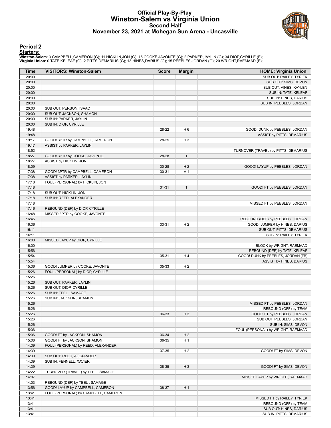#### **Official Play-By-Play Winston-Salem vs Virginia Union Second Half November 23, 2021 at Mohegan Sun Arena - Uncasville**



#### **Period 2**

**Starters:**<br>Winston-Salem: 3 CAMPBELL,CAMERON (G); 11 HICKLIN,JON (G); 15 COOKE,JAVONTE (G); 2 PARKER,JAYLIN (G); 34 DIOP,CYRILLE (F);<br>Virginia Union: 0 TATE,KELEAF (G); 2 PITTS,DEMARIUS (G); 13 HINES,DARIUS (G); 15 PEEBLE

| Time           | <b>VISITORS: Winston-Salem</b>       | <b>Score</b> | <b>Margin</b>  | <b>HOME: Virginia Union</b>          |
|----------------|--------------------------------------|--------------|----------------|--------------------------------------|
| 20:00          |                                      |              |                | SUB OUT: RAILEY, TYRIEK              |
| 20:00          |                                      |              |                | SUB OUT: SIMS, DEVON                 |
| 20:00          |                                      |              |                | SUB OUT: VINES, KAYLEN               |
| 20:00          |                                      |              |                | SUB IN: TATE, KELEAF                 |
| 20:00          |                                      |              |                | SUB IN: HINES, DARIUS                |
| 20:00          |                                      |              |                | SUB IN: PEEBLES, JORDAN              |
| 20:00          | SUB OUT: PERSON, ISAAC               |              |                |                                      |
| 20:00          | SUB OUT: JACKSON, SHAMON             |              |                |                                      |
| 20:00          | SUB IN: PARKER, JAYLIN               |              |                |                                      |
| 20:00          | SUB IN: DIOP, CYRILLE                |              |                |                                      |
| 19:48          |                                      | 28-22        | H <sub>6</sub> | GOOD! DUNK by PEEBLES, JORDAN        |
| 19:48          |                                      |              |                | ASSIST by PITTS, DEMARIUS            |
| 19:17          | GOOD! 3PTR by CAMPBELL, CAMERON      | 28-25        | $H_3$          |                                      |
| 19:17<br>18:52 | ASSIST by PARKER, JAYLIN             |              |                |                                      |
| 18:27          | GOOD! 3PTR by COOKE, JAVONTE         | 28-28        | T.             | TURNOVER (TRAVEL) by PITTS, DEMARIUS |
| 18:27          | ASSIST by HICKLIN, JON               |              |                |                                      |
| 18:09          |                                      | $30 - 28$    | H <sub>2</sub> | GOOD! LAYUP by PEEBLES, JORDAN       |
| 17:38          | GOOD! 3PTR by CAMPBELL, CAMERON      | 30-31        | V <sub>1</sub> |                                      |
| 17:38          | ASSIST by PARKER, JAYLIN             |              |                |                                      |
| 17:18          | FOUL (PERSONAL) by HICKLIN, JON      |              |                |                                      |
| 17:18          |                                      | $31 - 31$    | T              | GOOD! FT by PEEBLES, JORDAN          |
| 17:18          | SUB OUT: HICKLIN, JON                |              |                |                                      |
| 17:18          | SUB IN: REED, ALEXANDER              |              |                |                                      |
| 17:18          |                                      |              |                | MISSED FT by PEEBLES, JORDAN         |
| 17:16          | REBOUND (DEF) by DIOP, CYRILLE       |              |                |                                      |
| 16:48          | MISSED 3PTR by COOKE, JAVONTE        |              |                |                                      |
| 16:45          |                                      |              |                | REBOUND (DEF) by PEEBLES, JORDAN     |
| 16:36          |                                      | 33-31        | H <sub>2</sub> | GOOD! JUMPER by HINES, DARIUS        |
| 16:11          |                                      |              |                | SUB OUT: PITTS, DEMARIUS             |
| 16:11          |                                      |              |                | SUB IN: RAILEY, TYRIEK               |
| 16:00          | MISSED LAYUP by DIOP, CYRILLE        |              |                |                                      |
| 16:00          |                                      |              |                | BLOCK by WRIGHT, RAEMAAD             |
| 15:56          |                                      |              |                | REBOUND (DEF) by TATE, KELEAF        |
| 15:54          |                                      | 35-31        | H4             | GOOD! DUNK by PEEBLES, JORDAN [FB]   |
| 15:54          |                                      |              |                | ASSIST by HINES, DARIUS              |
| 15:36          | GOOD! JUMPER by COOKE, JAVONTE       | 35-33        | H <sub>2</sub> |                                      |
| 15:26<br>15:26 | FOUL (PERSONAL) by DIOP, CYRILLE     |              |                |                                      |
| 15:26          | SUB OUT: PARKER, JAYLIN              |              |                |                                      |
| 15:26          | SUB OUT: DIOP, CYRILLE               |              |                |                                      |
| 15:26          | SUB IN: TEEL, SAMAGE                 |              |                |                                      |
| 15:26          | SUB IN: JACKSON, SHAMON              |              |                |                                      |
| 15:26          |                                      |              |                | MISSED FT by PEEBLES, JORDAN         |
| 15:26          |                                      |              |                | REBOUND (OFF) by TEAM                |
| 15:26          |                                      | 36-33        | $H_3$          | GOOD! FT by PEEBLES, JORDAN          |
| 15:26          |                                      |              |                | SUB OUT: PEEBLES, JORDAN             |
| 15:26          |                                      |              |                | SUB IN: SIMS, DEVON                  |
| 15:06          |                                      |              |                | FOUL (PERSONAL) by WRIGHT, RAEMAAD   |
| 15:06          | GOOD! FT by JACKSON, SHAMON          | $36-34$      | H <sub>2</sub> |                                      |
| 15:06          | GOOD! FT by JACKSON, SHAMON          | 36-35        | H <sub>1</sub> |                                      |
| 14:39          | FOUL (PERSONAL) by REED, ALEXANDER   |              |                |                                      |
| 14:39          |                                      | 37-35        | H <sub>2</sub> | GOOD! FT by SIMS, DEVON              |
| 14:39          | SUB OUT: REED, ALEXANDER             |              |                |                                      |
| 14:39          | SUB IN: FENNELL, XAVIER              |              |                |                                      |
| 14:39          |                                      | 38-35        | $H_3$          | GOOD! FT by SIMS, DEVON              |
| 14:22          | TURNOVER (TRAVEL) by TEEL, SAMAGE    |              |                |                                      |
| 14:07          |                                      |              |                | MISSED LAYUP by WRIGHT, RAEMAAD      |
| 14:03          | REBOUND (DEF) by TEEL, SAMAGE        |              |                |                                      |
| 13:56          | GOOD! LAYUP by CAMPBELL, CAMERON     | 38-37        | H1             |                                      |
| 13:41          | FOUL (PERSONAL) by CAMPBELL, CAMERON |              |                |                                      |
| 13:41          |                                      |              |                | MISSED FT by RAILEY, TYRIEK          |
| 13:41          |                                      |              |                | REBOUND (OFF) by TEAM                |
| 13:41          |                                      |              |                | SUB OUT: HINES, DARIUS               |
| 13:41          |                                      |              |                | SUB IN: PITTS, DEMARIUS              |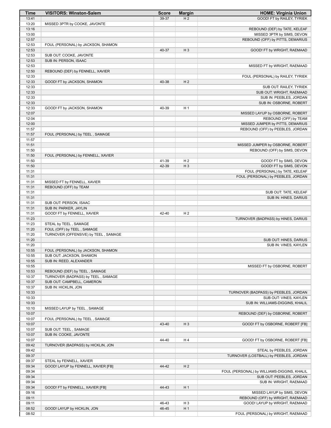| <b>Time</b>    | <b>VISITORS: Winston-Salem</b>       | <b>Score</b> | <b>Margin</b>  | <b>HOME: Virginia Union</b>                               |
|----------------|--------------------------------------|--------------|----------------|-----------------------------------------------------------|
| 13:41          |                                      | 39-37        | H <sub>2</sub> | GOOD! FT by RAILEY, TYRIEK                                |
| 13:20          | MISSED 3PTR by COOKE, JAVONTE        |              |                |                                                           |
| 13:16          |                                      |              |                | REBOUND (DEF) by TATE, KELEAF                             |
| 13:00          |                                      |              |                | MISSED 3PTR by SIMS, DEVON                                |
| 12:57          |                                      |              |                | REBOUND (OFF) by PITTS, DEMARIUS                          |
| 12:53<br>12:53 | FOUL (PERSONAL) by JACKSON, SHAMON   | 40-37        | $H_3$          | GOOD! FT by WRIGHT, RAEMAAD                               |
| 12:53          | SUB OUT: COOKE, JAVONTE              |              |                |                                                           |
| 12:53          | SUB IN: PERSON, ISAAC                |              |                |                                                           |
| 12:53          |                                      |              |                | MISSED FT by WRIGHT, RAEMAAD                              |
| 12:50          | REBOUND (DEF) by FENNELL, XAVIER     |              |                |                                                           |
| 12:33          |                                      |              |                | FOUL (PERSONAL) by RAILEY, TYRIEK                         |
| 12:33          | GOOD! FT by JACKSON, SHAMON          | 40-38        | H <sub>2</sub> |                                                           |
| 12:33          |                                      |              |                | SUB OUT: RAILEY, TYRIEK                                   |
| 12:33          |                                      |              |                | SUB OUT: WRIGHT, RAEMAAD                                  |
| 12:33          |                                      |              |                | SUB IN: PEEBLES, JORDAN                                   |
| 12:33          |                                      |              |                | SUB IN: OSBORNE, ROBERT                                   |
| 12:33          | GOOD! FT by JACKSON, SHAMON          | 40-39        | H <sub>1</sub> |                                                           |
| 12:07<br>12:04 |                                      |              |                | MISSED LAYUP by OSBORNE, ROBERT                           |
| 12:00          |                                      |              |                | REBOUND (OFF) by TEAM<br>MISSED JUMPER by PITTS, DEMARIUS |
| 11:57          |                                      |              |                | REBOUND (OFF) by PEEBLES, JORDAN                          |
| 11:57          | FOUL (PERSONAL) by TEEL, SAMAGE      |              |                |                                                           |
| 11:57          |                                      |              |                |                                                           |
| 11:51          |                                      |              |                | MISSED JUMPER by OSBORNE, ROBERT                          |
| 11:50          |                                      |              |                | REBOUND (OFF) by SIMS, DEVON                              |
| 11:50          | FOUL (PERSONAL) by FENNELL, XAVIER   |              |                |                                                           |
| 11:50          |                                      | 41-39        | H <sub>2</sub> | GOOD! FT by SIMS, DEVON                                   |
| 11:50          |                                      | 42-39        | $H_3$          | GOOD! FT by SIMS, DEVON                                   |
| 11:31          |                                      |              |                | FOUL (PERSONAL) by TATE, KELEAF                           |
| 11:31          |                                      |              |                | FOUL (PERSONAL) by PEEBLES, JORDAN                        |
| 11:31          | MISSED FT by FENNELL, XAVIER         |              |                |                                                           |
| 11:31          | REBOUND (OFF) by TEAM                |              |                |                                                           |
| 11:31<br>11:31 |                                      |              |                | SUB OUT: TATE, KELEAF<br>SUB IN: HINES, DARIUS            |
| 11:31          | SUB OUT: PERSON, ISAAC               |              |                |                                                           |
| 11:31          | SUB IN: PARKER, JAYLIN               |              |                |                                                           |
| 11:31          | GOOD! FT by FENNELL, XAVIER          | 42-40        | H <sub>2</sub> |                                                           |
| 11:23          |                                      |              |                | TURNOVER (BADPASS) by HINES, DARIUS                       |
| 11:23          | STEAL by TEEL, SAMAGE                |              |                |                                                           |
| 11:20          | FOUL (OFF) by TEEL, SAMAGE           |              |                |                                                           |
| 11:20          | TURNOVER (OFFENSIVE) by TEEL, SAMAGE |              |                |                                                           |
| 11:20          |                                      |              |                | SUB OUT: HINES, DARIUS                                    |
| 11:20          |                                      |              |                | SUB IN: VINES, KAYLEN                                     |
| 10:55          | FOUL (PERSONAL) by JACKSON, SHAMON   |              |                |                                                           |
| 10:55          | SUB OUT: JACKSON, SHAMON             |              |                |                                                           |
| 10:55<br>10:55 | SUB IN: REED, ALEXANDER              |              |                | MISSED FT by OSBORNE, ROBERT                              |
| 10:53          | REBOUND (DEF) by TEEL, SAMAGE        |              |                |                                                           |
| 10:37          | TURNOVER (BADPASS) by TEEL, SAMAGE   |              |                |                                                           |
| 10:37          | SUB OUT: CAMPBELL, CAMERON           |              |                |                                                           |
| 10:37          | SUB IN: HICKLIN, JON                 |              |                |                                                           |
| 10:33          |                                      |              |                | TURNOVER (BADPASS) by PEEBLES, JORDAN                     |
| 10:33          |                                      |              |                | SUB OUT: VINES, KAYLEN                                    |
| 10:33          |                                      |              |                | SUB IN: WILLIAMS-DIGGINS, KHALIL                          |
| 10:10          | MISSED LAYUP by TEEL, SAMAGE         |              |                |                                                           |
| 10:07          |                                      |              |                | REBOUND (DEF) by OSBORNE, ROBERT                          |
| 10:07          | FOUL (PERSONAL) by TEEL, SAMAGE      |              |                |                                                           |
| 10:07          |                                      | 43-40        | $H_3$          | GOOD! FT by OSBORNE, ROBERT [FB]                          |
| 10:07          | SUB OUT: TEEL, SAMAGE                |              |                |                                                           |
| 10:07          | SUB IN: COOKE, JAVONTE               |              |                |                                                           |
| 10:07<br>09:42 |                                      | 44-40        | H4             | GOOD! FT by OSBORNE, ROBERT [FB]                          |
| 09:42          | TURNOVER (BADPASS) by HICKLIN, JON   |              |                | STEAL by PEEBLES, JORDAN                                  |
| 09:37          |                                      |              |                | TURNOVER (LOSTBALL) by PEEBLES, JORDAN                    |
| 09:37          | STEAL by FENNELL, XAVIER             |              |                |                                                           |
| 09:34          | GOOD! LAYUP by FENNELL, XAVIER [FB]  | 44-42        | H <sub>2</sub> |                                                           |
| 09:34          |                                      |              |                | FOUL (PERSONAL) by WILLIAMS-DIGGINS, KHALIL               |
| 09:34          |                                      |              |                | SUB OUT: PEEBLES, JORDAN                                  |
| 09:34          |                                      |              |                | SUB IN: WRIGHT, RAEMAAD                                   |
| 09:34          | GOOD! FT by FENNELL, XAVIER [FB]     | 44-43        | H <sub>1</sub> |                                                           |
| 09:16          |                                      |              |                | MISSED LAYUP by SIMS, DEVON                               |
| 09:11          |                                      |              |                | REBOUND (OFF) by WRIGHT, RAEMAAD                          |
| 09:11          |                                      | 46-43        | H <sub>3</sub> | GOOD! LAYUP by WRIGHT, RAEMAAD                            |
| 08:52          | GOOD! LAYUP by HICKLIN, JON          | 46-45        | H <sub>1</sub> |                                                           |
| 08:52          |                                      |              |                | FOUL (PERSONAL) by WRIGHT, RAEMAAD                        |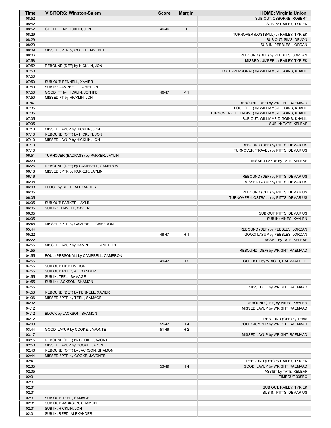| Time           | <b>VISITORS: Winston-Salem</b>       | <b>Score</b> | <b>Margin</b>  | <b>HOME: Virginia Union</b>                                                |
|----------------|--------------------------------------|--------------|----------------|----------------------------------------------------------------------------|
| 08:52          |                                      |              |                | SUB OUT: OSBORNE, ROBERT                                                   |
| 08:52          |                                      |              |                | SUB IN: RAILEY, TYRIEK                                                     |
| 08:52<br>08:29 | GOOD! FT by HICKLIN, JON             | 46-46        | T              | TURNOVER (LOSTBALL) by RAILEY, TYRIEK                                      |
| 08:29          |                                      |              |                | SUB OUT: SIMS, DEVON                                                       |
| 08:29          |                                      |              |                | SUB IN: PEEBLES, JORDAN                                                    |
| 08:09          | MISSED 3PTR by COOKE, JAVONTE        |              |                |                                                                            |
| 08:06          |                                      |              |                | REBOUND (DEF) by PEEBLES, JORDAN                                           |
| 07:58          |                                      |              |                | MISSED JUMPER by RAILEY, TYRIEK                                            |
| 07:52<br>07:50 | REBOUND (DEF) by HICKLIN, JON        |              |                | FOUL (PERSONAL) by WILLIAMS-DIGGINS, KHALIL                                |
| 07:50          |                                      |              |                |                                                                            |
| 07:50          | SUB OUT: FENNELL, XAVIER             |              |                |                                                                            |
| 07:50          | SUB IN: CAMPBELL, CAMERON            |              |                |                                                                            |
| 07:50          | GOOD! FT by HICKLIN, JON [FB]        | 46-47        | V <sub>1</sub> |                                                                            |
| 07:50          | MISSED FT by HICKLIN, JON            |              |                |                                                                            |
| 07:47<br>07:35 |                                      |              |                | REBOUND (DEF) by WRIGHT, RAEMAAD<br>FOUL (OFF) by WILLIAMS-DIGGINS, KHALIL |
| 07:35          |                                      |              |                | TURNOVER (OFFENSIVE) by WILLIAMS-DIGGINS, KHALIL                           |
| 07:35          |                                      |              |                | SUB OUT: WILLIAMS-DIGGINS, KHALIL                                          |
| 07:35          |                                      |              |                | SUB IN: TATE, KELEAF                                                       |
| 07:13          | MISSED LAYUP by HICKLIN, JON         |              |                |                                                                            |
| 07:10          | REBOUND (OFF) by HICKLIN, JON        |              |                |                                                                            |
| 07:10<br>07:10 | MISSED LAYUP by HICKLIN, JON         |              |                | REBOUND (DEF) by PITTS, DEMARIUS                                           |
| 07:10          |                                      |              |                | TURNOVER (TRAVEL) by PITTS, DEMARIUS                                       |
| 06:51          | TURNOVER (BADPASS) by PARKER, JAYLIN |              |                |                                                                            |
| 06:29          |                                      |              |                | MISSED LAYUP by TATE, KELEAF                                               |
| 06:26          | REBOUND (DEF) by CAMPBELL, CAMERON   |              |                |                                                                            |
| 06:18          | MISSED 3PTR by PARKER, JAYLIN        |              |                |                                                                            |
| 06:16<br>06:08 |                                      |              |                | REBOUND (DEF) by PITTS, DEMARIUS<br>MISSED LAYUP by PITTS, DEMARIUS        |
| 06:08          | BLOCK by REED, ALEXANDER             |              |                |                                                                            |
| 06:05          |                                      |              |                | REBOUND (OFF) by PITTS, DEMARIUS                                           |
| 06:05          |                                      |              |                | TURNOVER (LOSTBALL) by PITTS, DEMARIUS                                     |
| 06:05          | SUB OUT: PARKER, JAYLIN              |              |                |                                                                            |
| 06:05          | SUB IN: FENNELL, XAVIER              |              |                |                                                                            |
| 06:05<br>06:05 |                                      |              |                | SUB OUT: PITTS, DEMARIUS<br>SUB IN: VINES, KAYLEN                          |
| 05:48          | MISSED 3PTR by CAMPBELL, CAMERON     |              |                |                                                                            |
| 05:44          |                                      |              |                | REBOUND (DEF) by PEEBLES, JORDAN                                           |
| 05:22          |                                      | 48-47        | H <sub>1</sub> | GOOD! LAYUP by PEEBLES, JORDAN                                             |
| 05:22          |                                      |              |                | ASSIST by TATE, KELEAF                                                     |
| 04:55<br>04:55 | MISSED LAYUP by CAMPBELL, CAMERON    |              |                | REBOUND (DEF) by WRIGHT, RAEMAAD                                           |
| 04:55          | FOUL (PERSONAL) by CAMPBELL, CAMERON |              |                |                                                                            |
| 04:55          |                                      | 49-47        | H <sub>2</sub> | GOOD! FT by WRIGHT, RAEMAAD [FB]                                           |
| 04:55          | SUB OUT: HICKLIN, JON                |              |                |                                                                            |
| 04:55          | SUB OUT: REED, ALEXANDER             |              |                |                                                                            |
| 04:55          | SUB IN: TEEL, SAMAGE                 |              |                |                                                                            |
| 04:55<br>04:55 | SUB IN: JACKSON, SHAMON              |              |                |                                                                            |
| 04:53          | REBOUND (DEF) by FENNELL, XAVIER     |              |                | MISSED FT by WRIGHT, RAEMAAD                                               |
| 04:36          | MISSED 3PTR by TEEL, SAMAGE          |              |                |                                                                            |
| 04:32          |                                      |              |                | REBOUND (DEF) by VINES, KAYLEN                                             |
| 04:12          |                                      |              |                | MISSED LAYUP by WRIGHT, RAEMAAD                                            |
| 04:12          | BLOCK by JACKSON, SHAMON             |              |                |                                                                            |
| 04:12<br>04:03 |                                      | 51-47        | H4             | REBOUND (OFF) by TEAM<br>GOOD! JUMPER by WRIGHT, RAEMAAD                   |
| 03:44          | GOOD! LAYUP by COOKE, JAVONTE        | 51-49        | H <sub>2</sub> |                                                                            |
| 03:17          |                                      |              |                | MISSED LAYUP by WRIGHT, RAEMAAD                                            |
| 03:15          | REBOUND (DEF) by COOKE, JAVONTE      |              |                |                                                                            |
| 02:50          | MISSED LAYUP by COOKE, JAVONTE       |              |                |                                                                            |
| 02:46          | REBOUND (OFF) by JACKSON, SHAMON     |              |                |                                                                            |
| 02:44<br>02:41 | MISSED 3PTR by COOKE, JAVONTE        |              |                | REBOUND (DEF) by RAILEY, TYRIEK                                            |
| 02:35          |                                      | 53-49        | H4             | GOOD! LAYUP by WRIGHT, RAEMAAD                                             |
| 02:35          |                                      |              |                | ASSIST by TATE, KELEAF                                                     |
| 02:31          |                                      |              |                | TIMEOUT 30SEC                                                              |
| 02:31          |                                      |              |                |                                                                            |
| 02:31          |                                      |              |                | SUB OUT: RAILEY, TYRIEK                                                    |
| 02:31<br>02:31 | SUB OUT: TEEL, SAMAGE                |              |                | SUB IN: PITTS, DEMARIUS                                                    |
| 02:31          | SUB OUT: JACKSON, SHAMON             |              |                |                                                                            |
| 02:31          | SUB IN: HICKLIN, JON                 |              |                |                                                                            |
| 02:31          | SUB IN: REED, ALEXANDER              |              |                |                                                                            |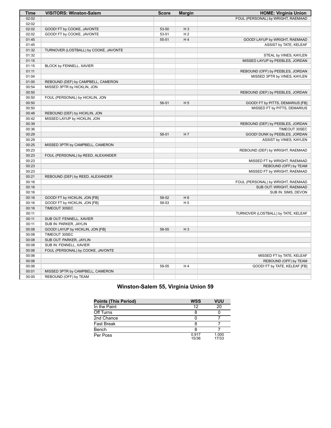| FOUL (PERSONAL) by WRIGHT, RAEMAAD<br>02:02<br>02:02<br>02:02<br>GOOD! FT by COOKE, JAVONTE<br>53-50<br>$H_3$<br>02:02<br>GOOD! FT by COOKE, JAVONTE<br>H <sub>2</sub><br>53-51<br>01:45<br>55-51<br>H4<br>GOOD! LAYUP by WRIGHT, RAEMAAD<br>01:45<br>ASSIST by TATE, KELEAF<br>01:32<br>TURNOVER (LOSTBALL) by COOKE, JAVONTE<br>01:32<br>STEAL by VINES, KAYLEN<br>01:15<br>MISSED LAYUP by PEEBLES, JORDAN<br>01:15<br>BLOCK by FENNELL, XAVIER<br>01:11<br>REBOUND (OFF) by PEEBLES, JORDAN<br>01:04<br>MISSED 3PTR by VINES, KAYLEN<br>01:00<br>REBOUND (DEF) by CAMPBELL, CAMERON<br>00:54<br>MISSED 3PTR by HICKLIN, JON<br>00:50<br>REBOUND (DEF) by PEEBLES, JORDAN<br>00:50<br>FOUL (PERSONAL) by HICKLIN, JON<br>00:50<br>H <sub>5</sub><br>56-51<br>GOOD! FT by PITTS, DEMARIUS [FB]<br>00:50<br>MISSED FT by PITTS, DEMARIUS<br>REBOUND (DEF) by HICKLIN, JON<br>00:48<br>00:42<br>MISSED LAYUP by HICKLIN, JON<br>00:39<br>REBOUND (DEF) by PEEBLES, JORDAN<br>TIMEOUT 30SEC<br>00:36<br>H7<br>GOOD! DUNK by PEEBLES, JORDAN<br>00:29<br>58-51<br>00:29<br>ASSIST by VINES, KAYLEN<br>00:25<br>MISSED 3PTR by CAMPBELL, CAMERON<br>00:23<br>REBOUND (DEF) by WRIGHT, RAEMAAD<br>00:23<br>FOUL (PERSONAL) by REED, ALEXANDER<br>00:23<br>MISSED FT by WRIGHT, RAEMAAD<br>00:23<br>REBOUND (OFF) by TEAM<br>00:23<br>MISSED FT by WRIGHT, RAEMAAD<br>00:21<br>REBOUND (DEF) by REED, ALEXANDER<br>00:16<br>FOUL (PERSONAL) by WRIGHT, RAEMAAD<br>00:16<br>SUB OUT: WRIGHT, RAEMAAD<br>00:16<br>SUB IN: SIMS, DEVON<br>H <sub>6</sub><br>00:16<br>GOOD! FT by HICKLIN, JON [FB]<br>58-52<br>00:16<br>GOOD! FT by HICKLIN, JON [FB]<br>58-53<br>H <sub>5</sub><br>00:16<br>TIMEOUT 30SEC<br>00:11<br>TURNOVER (LOSTBALL) by TATE, KELEAF<br>00:11<br>SUB OUT: FENNELL, XAVIER<br>00:11<br>SUB IN: PARKER, JAYLIN<br>00:08<br>58-55<br>$H_3$<br>GOOD! LAYUP by HICKLIN, JON [FB]<br>00:08<br>TIMEOUT 30SEC<br>00:08<br>SUB OUT: PARKER, JAYLIN<br>00:08<br>SUB IN: FENNELL, XAVIER<br>00:06<br>FOUL (PERSONAL) by COOKE, JAVONTE<br>00:06<br>MISSED FT by TATE, KELEAF<br>00:06<br>REBOUND (OFF) by TEAM<br>GOOD! FT by TATE, KELEAF [FB]<br>00:06<br>H4<br>59-55<br>00:01<br>MISSED 3PTR by CAMPBELL, CAMERON<br>00:00<br>REBOUND (OFF) by TEAM | <b>Time</b> | <b>VISITORS: Winston-Salem</b> | <b>Score</b> | <b>Margin</b> | <b>HOME: Virginia Union</b> |
|-----------------------------------------------------------------------------------------------------------------------------------------------------------------------------------------------------------------------------------------------------------------------------------------------------------------------------------------------------------------------------------------------------------------------------------------------------------------------------------------------------------------------------------------------------------------------------------------------------------------------------------------------------------------------------------------------------------------------------------------------------------------------------------------------------------------------------------------------------------------------------------------------------------------------------------------------------------------------------------------------------------------------------------------------------------------------------------------------------------------------------------------------------------------------------------------------------------------------------------------------------------------------------------------------------------------------------------------------------------------------------------------------------------------------------------------------------------------------------------------------------------------------------------------------------------------------------------------------------------------------------------------------------------------------------------------------------------------------------------------------------------------------------------------------------------------------------------------------------------------------------------------------------------------------------------------------------------------------------------------------------------------------------------------------------------------------------------------------------------------------------------------------------------------------------------------------------------------------------------------------------------|-------------|--------------------------------|--------------|---------------|-----------------------------|
|                                                                                                                                                                                                                                                                                                                                                                                                                                                                                                                                                                                                                                                                                                                                                                                                                                                                                                                                                                                                                                                                                                                                                                                                                                                                                                                                                                                                                                                                                                                                                                                                                                                                                                                                                                                                                                                                                                                                                                                                                                                                                                                                                                                                                                                           |             |                                |              |               |                             |
|                                                                                                                                                                                                                                                                                                                                                                                                                                                                                                                                                                                                                                                                                                                                                                                                                                                                                                                                                                                                                                                                                                                                                                                                                                                                                                                                                                                                                                                                                                                                                                                                                                                                                                                                                                                                                                                                                                                                                                                                                                                                                                                                                                                                                                                           |             |                                |              |               |                             |
|                                                                                                                                                                                                                                                                                                                                                                                                                                                                                                                                                                                                                                                                                                                                                                                                                                                                                                                                                                                                                                                                                                                                                                                                                                                                                                                                                                                                                                                                                                                                                                                                                                                                                                                                                                                                                                                                                                                                                                                                                                                                                                                                                                                                                                                           |             |                                |              |               |                             |
|                                                                                                                                                                                                                                                                                                                                                                                                                                                                                                                                                                                                                                                                                                                                                                                                                                                                                                                                                                                                                                                                                                                                                                                                                                                                                                                                                                                                                                                                                                                                                                                                                                                                                                                                                                                                                                                                                                                                                                                                                                                                                                                                                                                                                                                           |             |                                |              |               |                             |
|                                                                                                                                                                                                                                                                                                                                                                                                                                                                                                                                                                                                                                                                                                                                                                                                                                                                                                                                                                                                                                                                                                                                                                                                                                                                                                                                                                                                                                                                                                                                                                                                                                                                                                                                                                                                                                                                                                                                                                                                                                                                                                                                                                                                                                                           |             |                                |              |               |                             |
|                                                                                                                                                                                                                                                                                                                                                                                                                                                                                                                                                                                                                                                                                                                                                                                                                                                                                                                                                                                                                                                                                                                                                                                                                                                                                                                                                                                                                                                                                                                                                                                                                                                                                                                                                                                                                                                                                                                                                                                                                                                                                                                                                                                                                                                           |             |                                |              |               |                             |
|                                                                                                                                                                                                                                                                                                                                                                                                                                                                                                                                                                                                                                                                                                                                                                                                                                                                                                                                                                                                                                                                                                                                                                                                                                                                                                                                                                                                                                                                                                                                                                                                                                                                                                                                                                                                                                                                                                                                                                                                                                                                                                                                                                                                                                                           |             |                                |              |               |                             |
|                                                                                                                                                                                                                                                                                                                                                                                                                                                                                                                                                                                                                                                                                                                                                                                                                                                                                                                                                                                                                                                                                                                                                                                                                                                                                                                                                                                                                                                                                                                                                                                                                                                                                                                                                                                                                                                                                                                                                                                                                                                                                                                                                                                                                                                           |             |                                |              |               |                             |
|                                                                                                                                                                                                                                                                                                                                                                                                                                                                                                                                                                                                                                                                                                                                                                                                                                                                                                                                                                                                                                                                                                                                                                                                                                                                                                                                                                                                                                                                                                                                                                                                                                                                                                                                                                                                                                                                                                                                                                                                                                                                                                                                                                                                                                                           |             |                                |              |               |                             |
|                                                                                                                                                                                                                                                                                                                                                                                                                                                                                                                                                                                                                                                                                                                                                                                                                                                                                                                                                                                                                                                                                                                                                                                                                                                                                                                                                                                                                                                                                                                                                                                                                                                                                                                                                                                                                                                                                                                                                                                                                                                                                                                                                                                                                                                           |             |                                |              |               |                             |
|                                                                                                                                                                                                                                                                                                                                                                                                                                                                                                                                                                                                                                                                                                                                                                                                                                                                                                                                                                                                                                                                                                                                                                                                                                                                                                                                                                                                                                                                                                                                                                                                                                                                                                                                                                                                                                                                                                                                                                                                                                                                                                                                                                                                                                                           |             |                                |              |               |                             |
|                                                                                                                                                                                                                                                                                                                                                                                                                                                                                                                                                                                                                                                                                                                                                                                                                                                                                                                                                                                                                                                                                                                                                                                                                                                                                                                                                                                                                                                                                                                                                                                                                                                                                                                                                                                                                                                                                                                                                                                                                                                                                                                                                                                                                                                           |             |                                |              |               |                             |
|                                                                                                                                                                                                                                                                                                                                                                                                                                                                                                                                                                                                                                                                                                                                                                                                                                                                                                                                                                                                                                                                                                                                                                                                                                                                                                                                                                                                                                                                                                                                                                                                                                                                                                                                                                                                                                                                                                                                                                                                                                                                                                                                                                                                                                                           |             |                                |              |               |                             |
|                                                                                                                                                                                                                                                                                                                                                                                                                                                                                                                                                                                                                                                                                                                                                                                                                                                                                                                                                                                                                                                                                                                                                                                                                                                                                                                                                                                                                                                                                                                                                                                                                                                                                                                                                                                                                                                                                                                                                                                                                                                                                                                                                                                                                                                           |             |                                |              |               |                             |
|                                                                                                                                                                                                                                                                                                                                                                                                                                                                                                                                                                                                                                                                                                                                                                                                                                                                                                                                                                                                                                                                                                                                                                                                                                                                                                                                                                                                                                                                                                                                                                                                                                                                                                                                                                                                                                                                                                                                                                                                                                                                                                                                                                                                                                                           |             |                                |              |               |                             |
|                                                                                                                                                                                                                                                                                                                                                                                                                                                                                                                                                                                                                                                                                                                                                                                                                                                                                                                                                                                                                                                                                                                                                                                                                                                                                                                                                                                                                                                                                                                                                                                                                                                                                                                                                                                                                                                                                                                                                                                                                                                                                                                                                                                                                                                           |             |                                |              |               |                             |
|                                                                                                                                                                                                                                                                                                                                                                                                                                                                                                                                                                                                                                                                                                                                                                                                                                                                                                                                                                                                                                                                                                                                                                                                                                                                                                                                                                                                                                                                                                                                                                                                                                                                                                                                                                                                                                                                                                                                                                                                                                                                                                                                                                                                                                                           |             |                                |              |               |                             |
|                                                                                                                                                                                                                                                                                                                                                                                                                                                                                                                                                                                                                                                                                                                                                                                                                                                                                                                                                                                                                                                                                                                                                                                                                                                                                                                                                                                                                                                                                                                                                                                                                                                                                                                                                                                                                                                                                                                                                                                                                                                                                                                                                                                                                                                           |             |                                |              |               |                             |
|                                                                                                                                                                                                                                                                                                                                                                                                                                                                                                                                                                                                                                                                                                                                                                                                                                                                                                                                                                                                                                                                                                                                                                                                                                                                                                                                                                                                                                                                                                                                                                                                                                                                                                                                                                                                                                                                                                                                                                                                                                                                                                                                                                                                                                                           |             |                                |              |               |                             |
|                                                                                                                                                                                                                                                                                                                                                                                                                                                                                                                                                                                                                                                                                                                                                                                                                                                                                                                                                                                                                                                                                                                                                                                                                                                                                                                                                                                                                                                                                                                                                                                                                                                                                                                                                                                                                                                                                                                                                                                                                                                                                                                                                                                                                                                           |             |                                |              |               |                             |
|                                                                                                                                                                                                                                                                                                                                                                                                                                                                                                                                                                                                                                                                                                                                                                                                                                                                                                                                                                                                                                                                                                                                                                                                                                                                                                                                                                                                                                                                                                                                                                                                                                                                                                                                                                                                                                                                                                                                                                                                                                                                                                                                                                                                                                                           |             |                                |              |               |                             |
|                                                                                                                                                                                                                                                                                                                                                                                                                                                                                                                                                                                                                                                                                                                                                                                                                                                                                                                                                                                                                                                                                                                                                                                                                                                                                                                                                                                                                                                                                                                                                                                                                                                                                                                                                                                                                                                                                                                                                                                                                                                                                                                                                                                                                                                           |             |                                |              |               |                             |
|                                                                                                                                                                                                                                                                                                                                                                                                                                                                                                                                                                                                                                                                                                                                                                                                                                                                                                                                                                                                                                                                                                                                                                                                                                                                                                                                                                                                                                                                                                                                                                                                                                                                                                                                                                                                                                                                                                                                                                                                                                                                                                                                                                                                                                                           |             |                                |              |               |                             |
|                                                                                                                                                                                                                                                                                                                                                                                                                                                                                                                                                                                                                                                                                                                                                                                                                                                                                                                                                                                                                                                                                                                                                                                                                                                                                                                                                                                                                                                                                                                                                                                                                                                                                                                                                                                                                                                                                                                                                                                                                                                                                                                                                                                                                                                           |             |                                |              |               |                             |
|                                                                                                                                                                                                                                                                                                                                                                                                                                                                                                                                                                                                                                                                                                                                                                                                                                                                                                                                                                                                                                                                                                                                                                                                                                                                                                                                                                                                                                                                                                                                                                                                                                                                                                                                                                                                                                                                                                                                                                                                                                                                                                                                                                                                                                                           |             |                                |              |               |                             |
|                                                                                                                                                                                                                                                                                                                                                                                                                                                                                                                                                                                                                                                                                                                                                                                                                                                                                                                                                                                                                                                                                                                                                                                                                                                                                                                                                                                                                                                                                                                                                                                                                                                                                                                                                                                                                                                                                                                                                                                                                                                                                                                                                                                                                                                           |             |                                |              |               |                             |
|                                                                                                                                                                                                                                                                                                                                                                                                                                                                                                                                                                                                                                                                                                                                                                                                                                                                                                                                                                                                                                                                                                                                                                                                                                                                                                                                                                                                                                                                                                                                                                                                                                                                                                                                                                                                                                                                                                                                                                                                                                                                                                                                                                                                                                                           |             |                                |              |               |                             |
|                                                                                                                                                                                                                                                                                                                                                                                                                                                                                                                                                                                                                                                                                                                                                                                                                                                                                                                                                                                                                                                                                                                                                                                                                                                                                                                                                                                                                                                                                                                                                                                                                                                                                                                                                                                                                                                                                                                                                                                                                                                                                                                                                                                                                                                           |             |                                |              |               |                             |
|                                                                                                                                                                                                                                                                                                                                                                                                                                                                                                                                                                                                                                                                                                                                                                                                                                                                                                                                                                                                                                                                                                                                                                                                                                                                                                                                                                                                                                                                                                                                                                                                                                                                                                                                                                                                                                                                                                                                                                                                                                                                                                                                                                                                                                                           |             |                                |              |               |                             |
|                                                                                                                                                                                                                                                                                                                                                                                                                                                                                                                                                                                                                                                                                                                                                                                                                                                                                                                                                                                                                                                                                                                                                                                                                                                                                                                                                                                                                                                                                                                                                                                                                                                                                                                                                                                                                                                                                                                                                                                                                                                                                                                                                                                                                                                           |             |                                |              |               |                             |
|                                                                                                                                                                                                                                                                                                                                                                                                                                                                                                                                                                                                                                                                                                                                                                                                                                                                                                                                                                                                                                                                                                                                                                                                                                                                                                                                                                                                                                                                                                                                                                                                                                                                                                                                                                                                                                                                                                                                                                                                                                                                                                                                                                                                                                                           |             |                                |              |               |                             |
|                                                                                                                                                                                                                                                                                                                                                                                                                                                                                                                                                                                                                                                                                                                                                                                                                                                                                                                                                                                                                                                                                                                                                                                                                                                                                                                                                                                                                                                                                                                                                                                                                                                                                                                                                                                                                                                                                                                                                                                                                                                                                                                                                                                                                                                           |             |                                |              |               |                             |
|                                                                                                                                                                                                                                                                                                                                                                                                                                                                                                                                                                                                                                                                                                                                                                                                                                                                                                                                                                                                                                                                                                                                                                                                                                                                                                                                                                                                                                                                                                                                                                                                                                                                                                                                                                                                                                                                                                                                                                                                                                                                                                                                                                                                                                                           |             |                                |              |               |                             |
|                                                                                                                                                                                                                                                                                                                                                                                                                                                                                                                                                                                                                                                                                                                                                                                                                                                                                                                                                                                                                                                                                                                                                                                                                                                                                                                                                                                                                                                                                                                                                                                                                                                                                                                                                                                                                                                                                                                                                                                                                                                                                                                                                                                                                                                           |             |                                |              |               |                             |
|                                                                                                                                                                                                                                                                                                                                                                                                                                                                                                                                                                                                                                                                                                                                                                                                                                                                                                                                                                                                                                                                                                                                                                                                                                                                                                                                                                                                                                                                                                                                                                                                                                                                                                                                                                                                                                                                                                                                                                                                                                                                                                                                                                                                                                                           |             |                                |              |               |                             |
|                                                                                                                                                                                                                                                                                                                                                                                                                                                                                                                                                                                                                                                                                                                                                                                                                                                                                                                                                                                                                                                                                                                                                                                                                                                                                                                                                                                                                                                                                                                                                                                                                                                                                                                                                                                                                                                                                                                                                                                                                                                                                                                                                                                                                                                           |             |                                |              |               |                             |
|                                                                                                                                                                                                                                                                                                                                                                                                                                                                                                                                                                                                                                                                                                                                                                                                                                                                                                                                                                                                                                                                                                                                                                                                                                                                                                                                                                                                                                                                                                                                                                                                                                                                                                                                                                                                                                                                                                                                                                                                                                                                                                                                                                                                                                                           |             |                                |              |               |                             |
|                                                                                                                                                                                                                                                                                                                                                                                                                                                                                                                                                                                                                                                                                                                                                                                                                                                                                                                                                                                                                                                                                                                                                                                                                                                                                                                                                                                                                                                                                                                                                                                                                                                                                                                                                                                                                                                                                                                                                                                                                                                                                                                                                                                                                                                           |             |                                |              |               |                             |
|                                                                                                                                                                                                                                                                                                                                                                                                                                                                                                                                                                                                                                                                                                                                                                                                                                                                                                                                                                                                                                                                                                                                                                                                                                                                                                                                                                                                                                                                                                                                                                                                                                                                                                                                                                                                                                                                                                                                                                                                                                                                                                                                                                                                                                                           |             |                                |              |               |                             |
|                                                                                                                                                                                                                                                                                                                                                                                                                                                                                                                                                                                                                                                                                                                                                                                                                                                                                                                                                                                                                                                                                                                                                                                                                                                                                                                                                                                                                                                                                                                                                                                                                                                                                                                                                                                                                                                                                                                                                                                                                                                                                                                                                                                                                                                           |             |                                |              |               |                             |
|                                                                                                                                                                                                                                                                                                                                                                                                                                                                                                                                                                                                                                                                                                                                                                                                                                                                                                                                                                                                                                                                                                                                                                                                                                                                                                                                                                                                                                                                                                                                                                                                                                                                                                                                                                                                                                                                                                                                                                                                                                                                                                                                                                                                                                                           |             |                                |              |               |                             |
|                                                                                                                                                                                                                                                                                                                                                                                                                                                                                                                                                                                                                                                                                                                                                                                                                                                                                                                                                                                                                                                                                                                                                                                                                                                                                                                                                                                                                                                                                                                                                                                                                                                                                                                                                                                                                                                                                                                                                                                                                                                                                                                                                                                                                                                           |             |                                |              |               |                             |
|                                                                                                                                                                                                                                                                                                                                                                                                                                                                                                                                                                                                                                                                                                                                                                                                                                                                                                                                                                                                                                                                                                                                                                                                                                                                                                                                                                                                                                                                                                                                                                                                                                                                                                                                                                                                                                                                                                                                                                                                                                                                                                                                                                                                                                                           |             |                                |              |               |                             |
|                                                                                                                                                                                                                                                                                                                                                                                                                                                                                                                                                                                                                                                                                                                                                                                                                                                                                                                                                                                                                                                                                                                                                                                                                                                                                                                                                                                                                                                                                                                                                                                                                                                                                                                                                                                                                                                                                                                                                                                                                                                                                                                                                                                                                                                           |             |                                |              |               |                             |
|                                                                                                                                                                                                                                                                                                                                                                                                                                                                                                                                                                                                                                                                                                                                                                                                                                                                                                                                                                                                                                                                                                                                                                                                                                                                                                                                                                                                                                                                                                                                                                                                                                                                                                                                                                                                                                                                                                                                                                                                                                                                                                                                                                                                                                                           |             |                                |              |               |                             |
|                                                                                                                                                                                                                                                                                                                                                                                                                                                                                                                                                                                                                                                                                                                                                                                                                                                                                                                                                                                                                                                                                                                                                                                                                                                                                                                                                                                                                                                                                                                                                                                                                                                                                                                                                                                                                                                                                                                                                                                                                                                                                                                                                                                                                                                           |             |                                |              |               |                             |
|                                                                                                                                                                                                                                                                                                                                                                                                                                                                                                                                                                                                                                                                                                                                                                                                                                                                                                                                                                                                                                                                                                                                                                                                                                                                                                                                                                                                                                                                                                                                                                                                                                                                                                                                                                                                                                                                                                                                                                                                                                                                                                                                                                                                                                                           |             |                                |              |               |                             |
|                                                                                                                                                                                                                                                                                                                                                                                                                                                                                                                                                                                                                                                                                                                                                                                                                                                                                                                                                                                                                                                                                                                                                                                                                                                                                                                                                                                                                                                                                                                                                                                                                                                                                                                                                                                                                                                                                                                                                                                                                                                                                                                                                                                                                                                           |             |                                |              |               |                             |
|                                                                                                                                                                                                                                                                                                                                                                                                                                                                                                                                                                                                                                                                                                                                                                                                                                                                                                                                                                                                                                                                                                                                                                                                                                                                                                                                                                                                                                                                                                                                                                                                                                                                                                                                                                                                                                                                                                                                                                                                                                                                                                                                                                                                                                                           |             |                                |              |               |                             |
|                                                                                                                                                                                                                                                                                                                                                                                                                                                                                                                                                                                                                                                                                                                                                                                                                                                                                                                                                                                                                                                                                                                                                                                                                                                                                                                                                                                                                                                                                                                                                                                                                                                                                                                                                                                                                                                                                                                                                                                                                                                                                                                                                                                                                                                           |             |                                |              |               |                             |

### **Winston-Salem 55, Virginia Union 59**

| <b>Points (This Period)</b> | <b>WSS</b>     | VUU            |
|-----------------------------|----------------|----------------|
| In the Paint                | 12             | 20             |
| Off Turns                   | 8              |                |
| 2nd Chance                  |                |                |
| <b>Fast Break</b>           | 8              |                |
| Bench                       |                |                |
| Per Poss                    | 0.917<br>15/36 | 1.000<br>17/33 |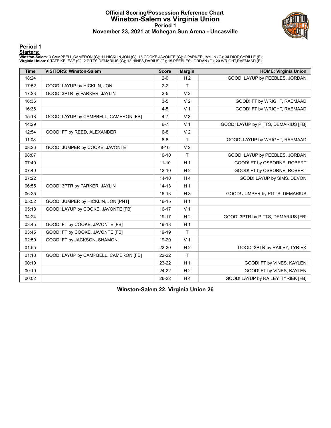#### **Official Scoring/Possession Reference Chart Winston-Salem vs Virginia Union Period 1 November 23, 2021 at Mohegan Sun Arena - Uncasville**



#### **Period 1**

**Starters:**<br>Winston-Salem: 3 CAMPBELL,CAMERON (G); 11 HICKLIN,JON (G); 15 COOKE,JAVONTE (G); 2 PARKER,JAYLIN (G); 34 DIOP,CYRILLE (F);<br>Virginia Union: 0 TATE,KELEAF (G); 2 PITTS,DEMARIUS (G); 13 HINES,DARIUS (G); 15 PEEBLE

| <b>Time</b> | <b>VISITORS: Winston-Salem</b>        | <b>Score</b> | <b>Margin</b>  | <b>HOME: Virginia Union</b>         |
|-------------|---------------------------------------|--------------|----------------|-------------------------------------|
| 18:24       |                                       | $2 - 0$      | H <sub>2</sub> | GOOD! LAYUP by PEEBLES, JORDAN      |
| 17:52       | GOOD! LAYUP by HICKLIN, JON           | $2 - 2$      | T              |                                     |
| 17:23       | GOOD! 3PTR by PARKER, JAYLIN          | $2 - 5$      | $V_3$          |                                     |
| 16:36       |                                       | $3-5$        | V <sub>2</sub> | GOOD! FT by WRIGHT, RAEMAAD         |
| 16:36       |                                       | $4 - 5$      | V <sub>1</sub> | GOOD! FT by WRIGHT, RAEMAAD         |
| 15:18       | GOOD! LAYUP by CAMPBELL, CAMERON [FB] | $4 - 7$      | V <sub>3</sub> |                                     |
| 14:29       |                                       | $6 - 7$      | V <sub>1</sub> | GOOD! LAYUP by PITTS, DEMARIUS [FB] |
| 12:54       | GOOD! FT by REED, ALEXANDER           | $6 - 8$      | V <sub>2</sub> |                                     |
| 11:08       |                                       | $8 - 8$      | $\mathsf{T}$   | GOOD! LAYUP by WRIGHT, RAEMAAD      |
| 08:26       | GOOD! JUMPER by COOKE, JAVONTE        | $8 - 10$     | V <sub>2</sub> |                                     |
| 08:07       |                                       | $10 - 10$    | T              | GOOD! LAYUP by PEEBLES, JORDAN      |
| 07:40       |                                       | $11 - 10$    | H <sub>1</sub> | GOOD! FT by OSBORNE, ROBERT         |
| 07:40       |                                       | $12 - 10$    | H <sub>2</sub> | GOOD! FT by OSBORNE, ROBERT         |
| 07:22       |                                       | $14 - 10$    | H4             | GOOD! LAYUP by SIMS, DEVON          |
| 06:55       | GOOD! 3PTR by PARKER, JAYLIN          | $14 - 13$    | H <sub>1</sub> |                                     |
| 06:25       |                                       | $16 - 13$    | H <sub>3</sub> | GOOD! JUMPER by PITTS, DEMARIUS     |
| 05:52       | GOOD! JUMPER by HICKLIN, JON [PNT]    | $16 - 15$    | H <sub>1</sub> |                                     |
| 05:18       | GOOD! LAYUP by COOKE, JAVONTE [FB]    | $16 - 17$    | V <sub>1</sub> |                                     |
| 04:24       |                                       | 19-17        | H <sub>2</sub> | GOOD! 3PTR by PITTS, DEMARIUS [FB]  |
| 03:45       | GOOD! FT by COOKE, JAVONTE [FB]       | 19-18        | H <sub>1</sub> |                                     |
| 03:45       | GOOD! FT by COOKE, JAVONTE [FB]       | 19-19        | T              |                                     |
| 02:50       | GOOD! FT by JACKSON, SHAMON           | 19-20        | V <sub>1</sub> |                                     |
| 01:55       |                                       | 22-20        | H <sub>2</sub> | GOOD! 3PTR by RAILEY, TYRIEK        |
| 01:18       | GOOD! LAYUP by CAMPBELL, CAMERON [FB] | $22 - 22$    | $\mathsf{T}$   |                                     |
| 00:10       |                                       | 23-22        | H <sub>1</sub> | GOOD! FT by VINES, KAYLEN           |
| 00:10       |                                       | 24-22        | H <sub>2</sub> | GOOD! FT by VINES, KAYLEN           |
| 00:02       |                                       | 26-22        | H <sub>4</sub> | GOOD! LAYUP by RAILEY, TYRIEK [FB]  |

**Winston-Salem 22, Virginia Union 26**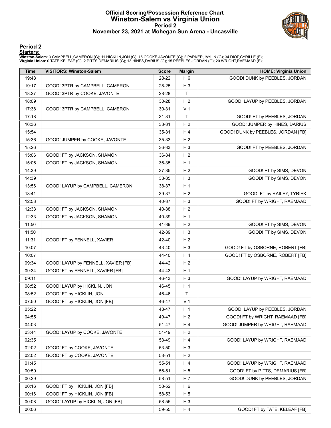#### **Official Scoring/Possession Reference Chart Winston-Salem vs Virginia Union Period 2 November 23, 2021 at Mohegan Sun Arena - Uncasville**



#### **Period 2**

**Starters:**<br>Winston-Salem: 3 CAMPBELL,CAMERON (G); 11 HICKLIN,JON (G); 15 COOKE,JAVONTE (G); 2 PARKER,JAYLIN (G); 34 DIOP,CYRILLE (F);<br>Virginia Union: 0 TATE,KELEAF (G); 2 PITTS,DEMARIUS (G); 13 HINES,DARIUS (G); 15 PEEBLE

| <b>Time</b> | <b>VISITORS: Winston-Salem</b>      | <b>Score</b> | <b>Margin</b>  | <b>HOME: Virginia Union</b>        |
|-------------|-------------------------------------|--------------|----------------|------------------------------------|
| 19:48       |                                     | 28-22        | H <sub>6</sub> | GOOD! DUNK by PEEBLES, JORDAN      |
| 19:17       | GOOD! 3PTR by CAMPBELL, CAMERON     | 28-25        | $H_3$          |                                    |
| 18:27       | GOOD! 3PTR by COOKE, JAVONTE        | 28-28        | $\mathsf{T}$   |                                    |
| 18:09       |                                     | 30-28        | H <sub>2</sub> | GOOD! LAYUP by PEEBLES, JORDAN     |
| 17:38       | GOOD! 3PTR by CAMPBELL, CAMERON     | 30-31        | V <sub>1</sub> |                                    |
| 17:18       |                                     | $31 - 31$    | $\mathsf{T}$   | GOOD! FT by PEEBLES, JORDAN        |
| 16:36       |                                     | 33-31        | H <sub>2</sub> | GOOD! JUMPER by HINES, DARIUS      |
| 15:54       |                                     | 35-31        | H 4            | GOOD! DUNK by PEEBLES, JORDAN [FB] |
| 15:36       | GOOD! JUMPER by COOKE, JAVONTE      | 35-33        | H <sub>2</sub> |                                    |
| 15:26       |                                     | 36-33        | $H_3$          | GOOD! FT by PEEBLES, JORDAN        |
| 15:06       | GOOD! FT by JACKSON, SHAMON         | 36-34        | H <sub>2</sub> |                                    |
| 15:06       | GOOD! FT by JACKSON, SHAMON         | 36-35        | H <sub>1</sub> |                                    |
| 14:39       |                                     | 37-35        | H <sub>2</sub> | GOOD! FT by SIMS, DEVON            |
| 14:39       |                                     | 38-35        | $H_3$          | GOOD! FT by SIMS, DEVON            |
| 13:56       | GOOD! LAYUP by CAMPBELL, CAMERON    | 38-37        | H <sub>1</sub> |                                    |
| 13:41       |                                     | 39-37        | H <sub>2</sub> | GOOD! FT by RAILEY, TYRIEK         |
| 12:53       |                                     | 40-37        | $H_3$          | GOOD! FT by WRIGHT, RAEMAAD        |
| 12:33       | GOOD! FT by JACKSON, SHAMON         | 40-38        | H <sub>2</sub> |                                    |
| 12:33       | GOOD! FT by JACKSON, SHAMON         | 40-39        | H <sub>1</sub> |                                    |
| 11:50       |                                     | 41-39        | H <sub>2</sub> | GOOD! FT by SIMS, DEVON            |
| 11:50       |                                     | 42-39        | $H_3$          | GOOD! FT by SIMS, DEVON            |
| 11:31       | GOOD! FT by FENNELL, XAVIER         | 42-40        | H <sub>2</sub> |                                    |
| 10:07       |                                     | 43-40        | $H_3$          | GOOD! FT by OSBORNE, ROBERT [FB]   |
| 10:07       |                                     | 44-40        | H 4            | GOOD! FT by OSBORNE, ROBERT [FB]   |
| 09:34       | GOOD! LAYUP by FENNELL, XAVIER [FB] | 44-42        | H <sub>2</sub> |                                    |
| 09:34       | GOOD! FT by FENNELL, XAVIER [FB]    | 44-43        | H <sub>1</sub> |                                    |
| 09:11       |                                     | 46-43        | $H_3$          | GOOD! LAYUP by WRIGHT, RAEMAAD     |
| 08:52       | GOOD! LAYUP by HICKLIN, JON         | 46-45        | H <sub>1</sub> |                                    |
| 08:52       | GOOD! FT by HICKLIN, JON            | 46-46        | $\mathsf{T}$   |                                    |
| 07:50       | GOOD! FT by HICKLIN, JON [FB]       | 46-47        | V <sub>1</sub> |                                    |
| 05:22       |                                     | 48-47        | H <sub>1</sub> | GOOD! LAYUP by PEEBLES, JORDAN     |
| 04:55       |                                     | 49-47        | H <sub>2</sub> | GOOD! FT by WRIGHT, RAEMAAD [FB]   |
| 04:03       |                                     | 51-47        | H 4            | GOOD! JUMPER by WRIGHT, RAEMAAD    |
| 03:44       | GOOD! LAYUP by COOKE, JAVONTE       | 51-49        | H <sub>2</sub> |                                    |
| 02:35       |                                     | 53-49        | H 4            | GOOD! LAYUP by WRIGHT, RAEMAAD     |
| 02:02       | GOOD! FT by COOKE, JAVONTE          | 53-50        | $H_3$          |                                    |
| 02:02       | GOOD! FT by COOKE, JAVONTE          | 53-51        | H <sub>2</sub> |                                    |
| 01:45       |                                     | 55-51        | H 4            | GOOD! LAYUP by WRIGHT, RAEMAAD     |
| 00:50       |                                     | 56-51        | H <sub>5</sub> | GOOD! FT by PITTS, DEMARIUS [FB]   |
| 00:29       |                                     | 58-51        | H 7            | GOOD! DUNK by PEEBLES, JORDAN      |
| 00:16       | GOOD! FT by HICKLIN, JON [FB]       | 58-52        | H <sub>6</sub> |                                    |
| 00:16       | GOOD! FT by HICKLIN, JON [FB]       | 58-53        | H <sub>5</sub> |                                    |
| 00:08       | GOOD! LAYUP by HICKLIN, JON [FB]    | 58-55        | $H_3$          |                                    |
| 00:06       |                                     | 59-55        | H 4            | GOOD! FT by TATE, KELEAF [FB]      |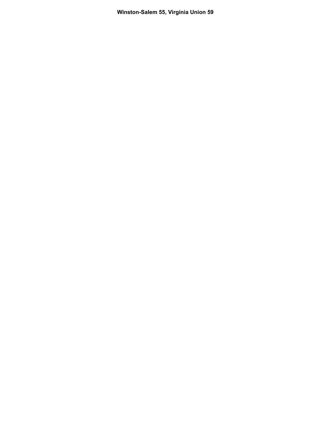**Winston-Salem 55, Virginia Union 59**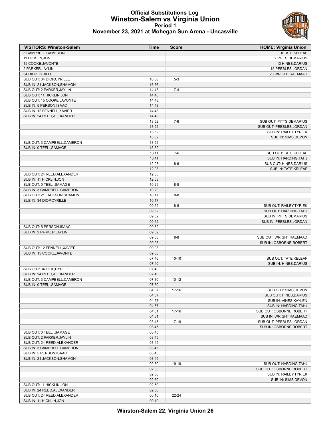### **Official Substitutions Log Winston-Salem vs Virginia Union Period 1**



| November 23, 2021 at Mohegan Sun Arena - Uncasville |  |  |  |  |
|-----------------------------------------------------|--|--|--|--|
|-----------------------------------------------------|--|--|--|--|

| <b>VISITORS: Winston-Salem</b>                         | <b>Time</b>    | <b>Score</b> | <b>HOME: Virginia Union</b>                          |
|--------------------------------------------------------|----------------|--------------|------------------------------------------------------|
| 3 CAMPBELL, CAMERON                                    |                |              | 0 TATE, KELEAF                                       |
| 11 HICKLIN, JON                                        |                |              | 2 PITTS, DEMARIUS                                    |
| 15 COOKE, JAVONTE                                      |                |              | 13 HINES, DARIUS                                     |
| 2 PARKER, JAYLIN                                       |                |              | 15 PEEBLES, JORDAN                                   |
| 34 DIOP, CYRILLE                                       |                |              | 20 WRIGHT, RAEMAAD                                   |
| SUB OUT: 34 DIOP, CYRILLE                              | 16:36          | $5-3$        |                                                      |
| SUB IN: 21 JACKSON, SHAMON                             | 16:36          |              |                                                      |
| SUB OUT: 2 PARKER, JAYLIN                              | 14:48          | $7 - 4$      |                                                      |
| SUB OUT: 11 HICKLIN, JON                               | 14:48          |              |                                                      |
| SUB OUT: 15 COOKE, JAVONTE                             | 14:48          |              |                                                      |
| SUB IN: 5 PERSON.ISAAC                                 | 14:48          |              |                                                      |
| SUB IN: 12 FENNELL, XAVIER                             | 14:48          |              |                                                      |
| SUB IN: 24 REED, ALEXANDER                             | 14:48          |              |                                                      |
|                                                        | 13:52          | $7-6$        | SUB OUT: PITTS, DEMARIUS                             |
|                                                        | 13:52          |              | SUB OUT: PEEBLES, JORDAN                             |
|                                                        | 13:52          |              | SUB IN: RAILEY, TYRIEK                               |
|                                                        | 13:52          |              | SUB IN: SIMS, DEVON                                  |
| SUB OUT: 3 CAMPBELL, CAMERON                           | 13:52          |              |                                                      |
| SUB IN: 0 TEEL, SAMAGE                                 | 13:52          |              |                                                      |
|                                                        | 13:11          | $7-6$        | SUB OUT: TATE, KELEAF                                |
|                                                        | 13:11          |              | SUB IN: HARDING, TAHJ                                |
|                                                        | 12:03          | $8-6$        | SUB OUT: HINES, DARIUS                               |
|                                                        | 12:03          |              | SUB IN: TATE, KELEAF                                 |
| SUB OUT: 24 REED, ALEXANDER                            | 12:03          |              |                                                      |
| SUB IN: 11 HICKLIN, JON                                | 12:03          |              |                                                      |
| SUB OUT: 0 TEEL, SAMAGE                                | 10:29          | $8 - 8$      |                                                      |
| SUB IN: 3 CAMPBELL, CAMERON                            | 10:29          |              |                                                      |
| SUB OUT: 21 JACKSON, SHAMON                            | 10:17          | $8 - 8$      |                                                      |
| SUB IN: 34 DIOP, CYRILLE                               | 10:17          |              |                                                      |
|                                                        | 09:52          | $8 - 8$      | SUB OUT: RAILEY, TYRIEK                              |
|                                                        | 09:52          |              | SUB OUT: HARDING, TAHJ                               |
|                                                        | 09:52          |              | SUB IN: PITTS, DEMARIUS                              |
|                                                        | 09:52          |              | SUB IN: PEEBLES, JORDAN                              |
| SUB OUT: 5 PERSON, ISAAC                               | 09:52          |              |                                                      |
| SUB IN: 2 PARKER, JAYLIN                               | 09:52          |              |                                                      |
|                                                        | 09:08          | $8 - 8$      | SUB OUT: WRIGHT, RAEMAAD                             |
|                                                        | 09:08          |              | SUB IN: OSBORNE, ROBERT                              |
| SUB OUT: 12 FENNELL, XAVIER                            | 09:08          |              |                                                      |
| SUB IN: 15 COOKE, JAVONTE                              | 09:08          |              |                                                      |
|                                                        | 07:40          | $10 - 10$    | SUB OUT: TATE, KELEAF                                |
|                                                        | 07:40          |              | SUB IN: HINES, DARIUS                                |
| SUB OUT: 34 DIOP, CYRILLE                              | 07:40          |              |                                                      |
| SUB IN: 24 REED, ALEXANDER                             | 07:40          | $10-12$      |                                                      |
| SUB OUT: 3 CAMPBELL, CAMERON<br>SUB IN: 0 TEEL, SAMAGE | 07:30<br>07:30 |              |                                                      |
|                                                        |                |              |                                                      |
|                                                        | 04:57<br>04:57 | 17-16        | SUB OUT: SIMS, DEVON<br><b>SUB OUT: HINES.DARIUS</b> |
|                                                        |                |              |                                                      |
|                                                        | 04:57<br>04:57 |              | SUB IN: VINES, KAYLEN<br>SUB IN: HARDING, TAHJ       |
|                                                        | 04:31          | $17 - 16$    | SUB OUT: OSBORNE, ROBERT                             |
|                                                        | 04:31          |              | SUB IN: WRIGHT, RAEMAAD                              |
|                                                        | 03:45          | 17-19        | SUB OUT: PEEBLES, JORDAN                             |
|                                                        | 03:45          |              | SUB IN: OSBORNE, ROBERT                              |
| SUB OUT: 0 TEEL, SAMAGE                                | 03:45          |              |                                                      |
| SUB OUT: 2 PARKER, JAYLIN                              | 03:45          |              |                                                      |
| SUB OUT: 24 REED, ALEXANDER                            | 03:45          |              |                                                      |
| SUB IN: 3 CAMPBELL, CAMERON                            | 03:45          |              |                                                      |
| SUB IN: 5 PERSON, ISAAC                                | 03:45          |              |                                                      |
| SUB IN: 21 JACKSON, SHAMON                             | 03:45          |              |                                                      |
|                                                        | 02:50          | 19-19        | SUB OUT: HARDING, TAHJ                               |
|                                                        | 02:50          |              | SUB OUT: OSBORNE, ROBERT                             |
|                                                        | 02:50          |              | SUB IN: RAILEY, TYRIEK                               |
|                                                        | 02:50          |              | SUB IN: SIMS, DEVON                                  |
| SUB OUT: 11 HICKLIN, JON                               | 02:50          |              |                                                      |
| SUB IN: 24 REED, ALEXANDER                             | 02:50          |              |                                                      |
| SUB OUT: 24 REED, ALEXANDER                            | 00:10          | 22-24        |                                                      |
| SUB IN: 11 HICKLIN, JON                                | 00:10          |              |                                                      |
|                                                        |                |              |                                                      |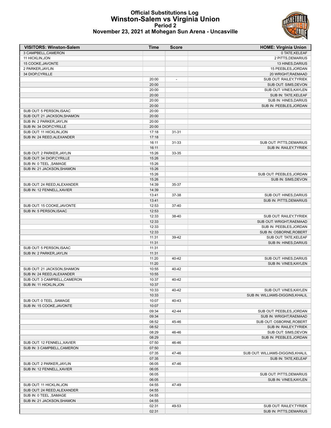#### **Official Substitutions Log Winston-Salem vs Virginia Union Period 2 November 23, 2021 at Mohegan Sun Arena - Uncasville**



| <b>VISITORS: Winston-Salem</b>                       | <b>Time</b>    | <b>Score</b>             | <b>HOME: Virginia Union</b>       |
|------------------------------------------------------|----------------|--------------------------|-----------------------------------|
| 3 CAMPBELL, CAMERON                                  |                |                          | 0 TATE, KELEAF                    |
| 11 HICKLIN, JON                                      |                |                          | 2 PITTS, DEMARIUS                 |
| 15 COOKE, JAVONTE                                    |                |                          | 13 HINES, DARIUS                  |
| 2 PARKER, JAYLIN                                     |                |                          | 15 PEEBLES, JORDAN                |
| 34 DIOP, CYRILLE                                     |                |                          | 20 WRIGHT, RAEMAAD                |
|                                                      | 20:00          | $\overline{\phantom{a}}$ | SUB OUT: RAILEY, TYRIEK           |
|                                                      | 20:00          |                          | SUB OUT: SIMS, DEVON              |
|                                                      | 20:00          |                          | SUB OUT: VINES, KAYLEN            |
|                                                      | 20:00          |                          | SUB IN: TATE, KELEAF              |
|                                                      | 20:00          |                          | SUB IN: HINES, DARIUS             |
|                                                      | 20:00          |                          | SUB IN: PEEBLES, JORDAN           |
| SUB OUT: 5 PERSON, ISAAC                             | 20:00          |                          |                                   |
| SUB OUT: 21 JACKSON, SHAMON                          | 20:00          |                          |                                   |
| SUB IN: 2 PARKER, JAYLIN                             | 20:00          |                          |                                   |
| SUB IN: 34 DIOP, CYRILLE<br>SUB OUT: 11 HICKLIN, JON | 20:00<br>17:18 | $31 - 31$                |                                   |
| SUB IN: 24 REED, ALEXANDER                           | 17:18          |                          |                                   |
|                                                      | 16:11          | 31-33                    | SUB OUT: PITTS, DEMARIUS          |
|                                                      | 16:11          |                          | SUB IN: RAILEY, TYRIEK            |
| SUB OUT: 2 PARKER, JAYLIN                            | 15:26          | 33-35                    |                                   |
| SUB OUT: 34 DIOP, CYRILLE                            | 15:26          |                          |                                   |
| SUB IN: 0 TEEL , SAMAGE                              | 15:26          |                          |                                   |
| SUB IN: 21 JACKSON, SHAMON                           | 15:26          |                          |                                   |
|                                                      | 15:26          |                          | SUB OUT: PEEBLES, JORDAN          |
|                                                      | 15:26          |                          | SUB IN: SIMS, DEVON               |
| SUB OUT: 24 REED, ALEXANDER                          | 14:39          | 35-37                    |                                   |
| SUB IN: 12 FENNELL, XAVIER                           | 14:39          |                          |                                   |
|                                                      | 13:41          | 37-38                    | SUB OUT: HINES, DARIUS            |
|                                                      | 13:41          |                          | SUB IN: PITTS, DEMARIUS           |
| SUB OUT: 15 COOKE, JAVONTE                           | 12:53          | 37-40                    |                                   |
| SUB IN: 5 PERSON, ISAAC                              | 12:53          |                          |                                   |
|                                                      | 12:33          | 38-40                    | SUB OUT: RAILEY, TYRIEK           |
|                                                      | 12:33          |                          | SUB OUT: WRIGHT, RAEMAAD          |
|                                                      | 12:33          |                          | SUB IN: PEEBLES, JORDAN           |
|                                                      | 12:33          |                          | SUB IN: OSBORNE, ROBERT           |
|                                                      | 11:31          | 39-42                    | SUB OUT: TATE, KELEAF             |
|                                                      | 11:31          |                          | SUB IN: HINES, DARIUS             |
| SUB OUT: 5 PERSON, ISAAC                             | 11:31          |                          |                                   |
| SUB IN: 2 PARKER, JAYLIN                             | 11:31          |                          |                                   |
|                                                      | 11:20          | 40-42                    | SUB OUT: HINES, DARIUS            |
|                                                      | 11:20          |                          | SUB IN: VINES, KAYLEN             |
| SUB OUT: 21 JACKSON, SHAMON                          | 10:55          | 40-42                    |                                   |
| SUB IN: 24 REED, ALEXANDER                           | 10:55          |                          |                                   |
| SUB OUT: 3 CAMPBELL, CAMERON                         | 10:37          | $40 - 42$                |                                   |
| SUB IN: 11 HICKLIN, JON                              | 10:37          |                          |                                   |
|                                                      | 10:33          | 40-42                    | SUB OUT: VINES, KAYLEN            |
|                                                      | 10:33          |                          | SUB IN: WILLIAMS-DIGGINS, KHALIL  |
| SUB OUT: 0 TEEL, SAMAGE                              | 10:07          | 40-43                    |                                   |
| SUB IN: 15 COOKE, JAVONTE                            | 10:07          |                          |                                   |
|                                                      | 09:34          | 42-44                    | SUB OUT: PEEBLES, JORDAN          |
|                                                      | 09:34          |                          | SUB IN: WRIGHT, RAEMAAD           |
|                                                      | 08:52          | 45-46                    | SUB OUT: OSBORNE, ROBERT          |
|                                                      | 08:52          |                          | SUB IN: RAILEY, TYRIEK            |
|                                                      | 08:29          | 46-46                    | SUB OUT: SIMS, DEVON              |
|                                                      | 08:29          |                          | SUB IN: PEEBLES, JORDAN           |
| SUB OUT: 12 FENNELL, XAVIER                          | 07:50          | 46-46                    |                                   |
| SUB IN: 3 CAMPBELL, CAMERON                          | 07:50          |                          |                                   |
|                                                      | 07:35          | 47-46                    | SUB OUT: WILLIAMS-DIGGINS, KHALIL |
|                                                      | 07:35          |                          | SUB IN: TATE, KELEAF              |
| SUB OUT: 2 PARKER, JAYLIN                            | 06:05          | 47-46                    |                                   |
| SUB IN: 12 FENNELL, XAVIER                           | 06:05          |                          |                                   |
|                                                      | 06:05          |                          | SUB OUT: PITTS, DEMARIUS          |
|                                                      | 06:05          |                          | SUB IN: VINES, KAYLEN             |
| SUB OUT: 11 HICKLIN, JON                             | 04:55          | 47-49                    |                                   |
| SUB OUT: 24 REED, ALEXANDER                          | 04:55          |                          |                                   |
| SUB IN: 0 TEEL, SAMAGE                               | 04:55          |                          |                                   |
| SUB IN: 21 JACKSON, SHAMON                           | 04:55          |                          |                                   |
|                                                      | 02:31          | 49-53                    | SUB OUT: RAILEY, TYRIEK           |
|                                                      | 02:31          |                          | SUB IN: PITTS, DEMARIUS           |